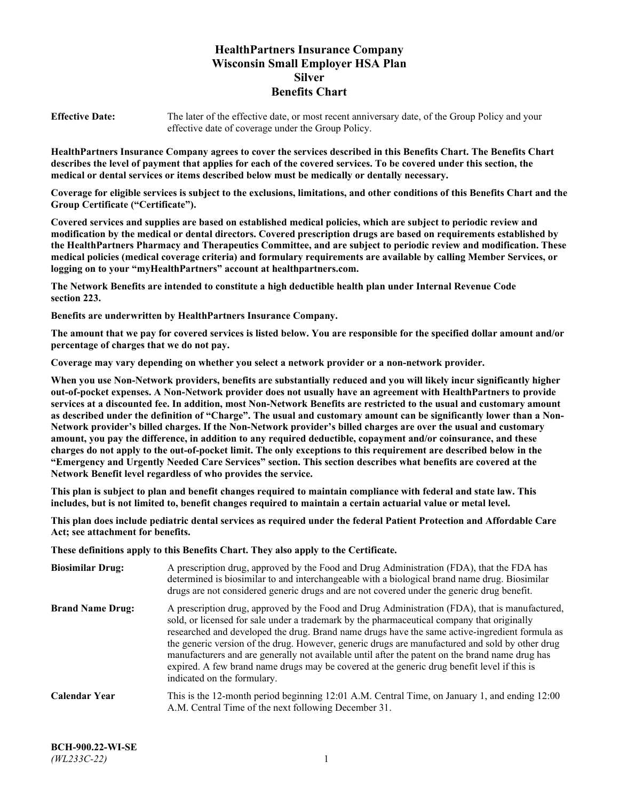# **HealthPartners Insurance Company Wisconsin Small Employer HSA Plan Silver Benefits Chart**

**Effective Date:** The later of the effective date, or most recent anniversary date, of the Group Policy and your effective date of coverage under the Group Policy.

**HealthPartners Insurance Company agrees to cover the services described in this Benefits Chart. The Benefits Chart describes the level of payment that applies for each of the covered services. To be covered under this section, the medical or dental services or items described below must be medically or dentally necessary.**

**Coverage for eligible services is subject to the exclusions, limitations, and other conditions of this Benefits Chart and the Group Certificate ("Certificate").**

**Covered services and supplies are based on established medical policies, which are subject to periodic review and modification by the medical or dental directors. Covered prescription drugs are based on requirements established by the HealthPartners Pharmacy and Therapeutics Committee, and are subject to periodic review and modification. These medical policies (medical coverage criteria) and formulary requirements are available by calling Member Services, or logging on to your "myHealthPartners" account at [healthpartners.com.](https://www.healthpartners.com/hp/index.html)**

**The Network Benefits are intended to constitute a high deductible health plan under Internal Revenue Code section 223.**

**Benefits are underwritten by HealthPartners Insurance Company.**

**The amount that we pay for covered services is listed below. You are responsible for the specified dollar amount and/or percentage of charges that we do not pay.**

**Coverage may vary depending on whether you select a network provider or a non-network provider.**

**When you use Non-Network providers, benefits are substantially reduced and you will likely incur significantly higher out-of-pocket expenses. A Non-Network provider does not usually have an agreement with HealthPartners to provide services at a discounted fee. In addition, most Non-Network Benefits are restricted to the usual and customary amount as described under the definition of "Charge". The usual and customary amount can be significantly lower than a Non-Network provider's billed charges. If the Non-Network provider's billed charges are over the usual and customary amount, you pay the difference, in addition to any required deductible, copayment and/or coinsurance, and these charges do not apply to the out-of-pocket limit. The only exceptions to this requirement are described below in the "Emergency and Urgently Needed Care Services" section. This section describes what benefits are covered at the Network Benefit level regardless of who provides the service.**

**This plan is subject to plan and benefit changes required to maintain compliance with federal and state law. This includes, but is not limited to, benefit changes required to maintain a certain actuarial value or metal level.**

**This plan does include pediatric dental services as required under the federal Patient Protection and Affordable Care Act; see attachment for benefits.**

**These definitions apply to this Benefits Chart. They also apply to the Certificate.**

| <b>Biosimilar Drug:</b> | A prescription drug, approved by the Food and Drug Administration (FDA), that the FDA has<br>determined is biosimilar to and interchangeable with a biological brand name drug. Biosimilar<br>drugs are not considered generic drugs and are not covered under the generic drug benefit.                                                                                                                                                                                                                                                                                                                                           |
|-------------------------|------------------------------------------------------------------------------------------------------------------------------------------------------------------------------------------------------------------------------------------------------------------------------------------------------------------------------------------------------------------------------------------------------------------------------------------------------------------------------------------------------------------------------------------------------------------------------------------------------------------------------------|
| <b>Brand Name Drug:</b> | A prescription drug, approved by the Food and Drug Administration (FDA), that is manufactured,<br>sold, or licensed for sale under a trademark by the pharmaceutical company that originally<br>researched and developed the drug. Brand name drugs have the same active-ingredient formula as<br>the generic version of the drug. However, generic drugs are manufactured and sold by other drug<br>manufacturers and are generally not available until after the patent on the brand name drug has<br>expired. A few brand name drugs may be covered at the generic drug benefit level if this is<br>indicated on the formulary. |
| <b>Calendar Year</b>    | This is the 12-month period beginning 12:01 A.M. Central Time, on January 1, and ending 12:00<br>A.M. Central Time of the next following December 31.                                                                                                                                                                                                                                                                                                                                                                                                                                                                              |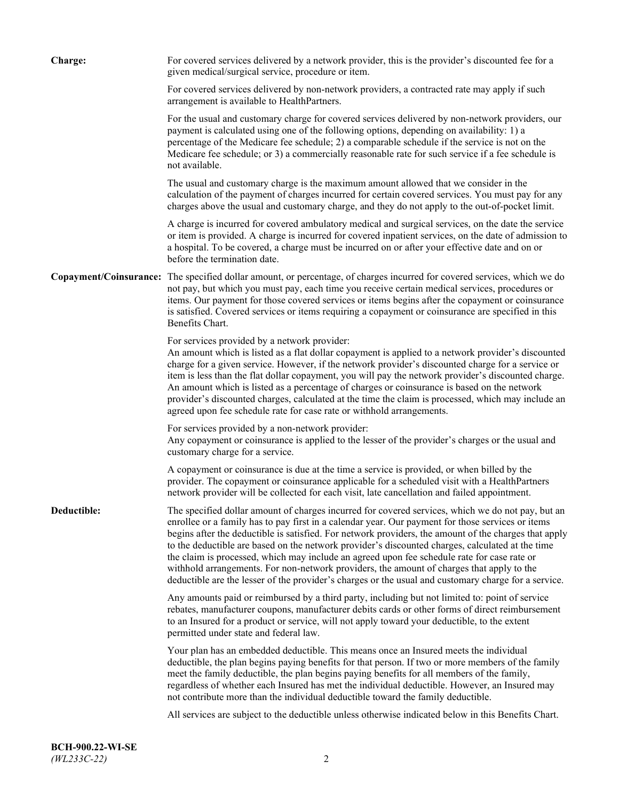| Charge:     | For covered services delivered by a network provider, this is the provider's discounted fee for a<br>given medical/surgical service, procedure or item.                                                                                                                                                                                                                                                                                                                                                                                                                                                                                                                                                                 |
|-------------|-------------------------------------------------------------------------------------------------------------------------------------------------------------------------------------------------------------------------------------------------------------------------------------------------------------------------------------------------------------------------------------------------------------------------------------------------------------------------------------------------------------------------------------------------------------------------------------------------------------------------------------------------------------------------------------------------------------------------|
|             | For covered services delivered by non-network providers, a contracted rate may apply if such<br>arrangement is available to HealthPartners.                                                                                                                                                                                                                                                                                                                                                                                                                                                                                                                                                                             |
|             | For the usual and customary charge for covered services delivered by non-network providers, our<br>payment is calculated using one of the following options, depending on availability: 1) a<br>percentage of the Medicare fee schedule; 2) a comparable schedule if the service is not on the<br>Medicare fee schedule; or 3) a commercially reasonable rate for such service if a fee schedule is<br>not available.                                                                                                                                                                                                                                                                                                   |
|             | The usual and customary charge is the maximum amount allowed that we consider in the<br>calculation of the payment of charges incurred for certain covered services. You must pay for any<br>charges above the usual and customary charge, and they do not apply to the out-of-pocket limit.                                                                                                                                                                                                                                                                                                                                                                                                                            |
|             | A charge is incurred for covered ambulatory medical and surgical services, on the date the service<br>or item is provided. A charge is incurred for covered inpatient services, on the date of admission to<br>a hospital. To be covered, a charge must be incurred on or after your effective date and on or<br>before the termination date.                                                                                                                                                                                                                                                                                                                                                                           |
|             | Copayment/Coinsurance: The specified dollar amount, or percentage, of charges incurred for covered services, which we do<br>not pay, but which you must pay, each time you receive certain medical services, procedures or<br>items. Our payment for those covered services or items begins after the copayment or coinsurance<br>is satisfied. Covered services or items requiring a copayment or coinsurance are specified in this<br>Benefits Chart.                                                                                                                                                                                                                                                                 |
|             | For services provided by a network provider:<br>An amount which is listed as a flat dollar copayment is applied to a network provider's discounted<br>charge for a given service. However, if the network provider's discounted charge for a service or<br>item is less than the flat dollar copayment, you will pay the network provider's discounted charge.<br>An amount which is listed as a percentage of charges or coinsurance is based on the network<br>provider's discounted charges, calculated at the time the claim is processed, which may include an<br>agreed upon fee schedule rate for case rate or withhold arrangements.                                                                            |
|             | For services provided by a non-network provider:<br>Any copayment or coinsurance is applied to the lesser of the provider's charges or the usual and<br>customary charge for a service.                                                                                                                                                                                                                                                                                                                                                                                                                                                                                                                                 |
|             | A copayment or coinsurance is due at the time a service is provided, or when billed by the<br>provider. The copayment or coinsurance applicable for a scheduled visit with a HealthPartners<br>network provider will be collected for each visit, late cancellation and failed appointment.                                                                                                                                                                                                                                                                                                                                                                                                                             |
| Deductible: | The specified dollar amount of charges incurred for covered services, which we do not pay, but an<br>enrollee or a family has to pay first in a calendar year. Our payment for those services or items<br>begins after the deductible is satisfied. For network providers, the amount of the charges that apply<br>to the deductible are based on the network provider's discounted charges, calculated at the time<br>the claim is processed, which may include an agreed upon fee schedule rate for case rate or<br>withhold arrangements. For non-network providers, the amount of charges that apply to the<br>deductible are the lesser of the provider's charges or the usual and customary charge for a service. |
|             | Any amounts paid or reimbursed by a third party, including but not limited to: point of service<br>rebates, manufacturer coupons, manufacturer debits cards or other forms of direct reimbursement<br>to an Insured for a product or service, will not apply toward your deductible, to the extent<br>permitted under state and federal law.                                                                                                                                                                                                                                                                                                                                                                            |
|             | Your plan has an embedded deductible. This means once an Insured meets the individual<br>deductible, the plan begins paying benefits for that person. If two or more members of the family<br>meet the family deductible, the plan begins paying benefits for all members of the family,<br>regardless of whether each Insured has met the individual deductible. However, an Insured may<br>not contribute more than the individual deductible toward the family deductible.                                                                                                                                                                                                                                           |
|             | All services are subject to the deductible unless otherwise indicated below in this Benefits Chart.                                                                                                                                                                                                                                                                                                                                                                                                                                                                                                                                                                                                                     |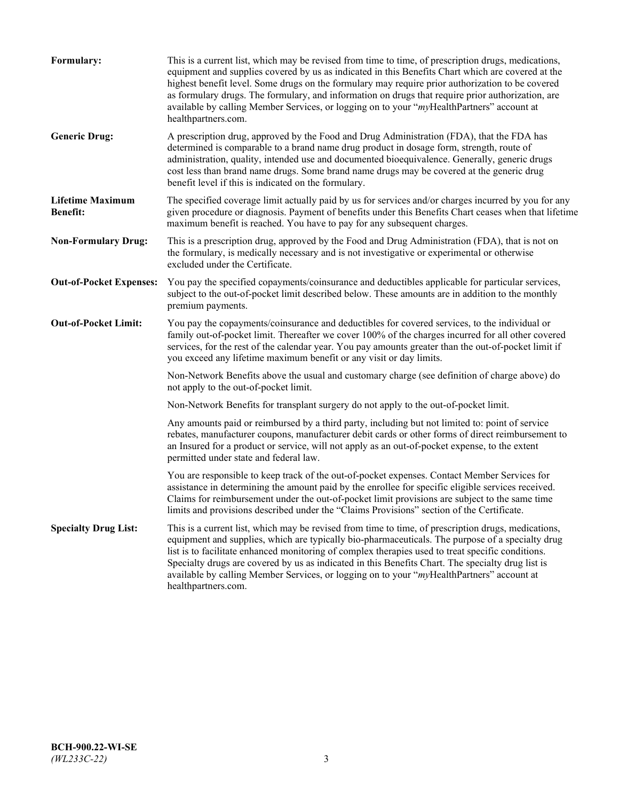| Formulary:                                 | This is a current list, which may be revised from time to time, of prescription drugs, medications,<br>equipment and supplies covered by us as indicated in this Benefits Chart which are covered at the<br>highest benefit level. Some drugs on the formulary may require prior authorization to be covered<br>as formulary drugs. The formulary, and information on drugs that require prior authorization, are<br>available by calling Member Services, or logging on to your "myHealthPartners" account at<br>healthpartners.com. |
|--------------------------------------------|---------------------------------------------------------------------------------------------------------------------------------------------------------------------------------------------------------------------------------------------------------------------------------------------------------------------------------------------------------------------------------------------------------------------------------------------------------------------------------------------------------------------------------------|
| <b>Generic Drug:</b>                       | A prescription drug, approved by the Food and Drug Administration (FDA), that the FDA has<br>determined is comparable to a brand name drug product in dosage form, strength, route of<br>administration, quality, intended use and documented bioequivalence. Generally, generic drugs<br>cost less than brand name drugs. Some brand name drugs may be covered at the generic drug<br>benefit level if this is indicated on the formulary.                                                                                           |
| <b>Lifetime Maximum</b><br><b>Benefit:</b> | The specified coverage limit actually paid by us for services and/or charges incurred by you for any<br>given procedure or diagnosis. Payment of benefits under this Benefits Chart ceases when that lifetime<br>maximum benefit is reached. You have to pay for any subsequent charges.                                                                                                                                                                                                                                              |
| <b>Non-Formulary Drug:</b>                 | This is a prescription drug, approved by the Food and Drug Administration (FDA), that is not on<br>the formulary, is medically necessary and is not investigative or experimental or otherwise<br>excluded under the Certificate.                                                                                                                                                                                                                                                                                                     |
| <b>Out-of-Pocket Expenses:</b>             | You pay the specified copayments/coinsurance and deductibles applicable for particular services,<br>subject to the out-of-pocket limit described below. These amounts are in addition to the monthly<br>premium payments.                                                                                                                                                                                                                                                                                                             |
| <b>Out-of-Pocket Limit:</b>                | You pay the copayments/coinsurance and deductibles for covered services, to the individual or<br>family out-of-pocket limit. Thereafter we cover 100% of the charges incurred for all other covered<br>services, for the rest of the calendar year. You pay amounts greater than the out-of-pocket limit if<br>you exceed any lifetime maximum benefit or any visit or day limits.                                                                                                                                                    |
|                                            | Non-Network Benefits above the usual and customary charge (see definition of charge above) do<br>not apply to the out-of-pocket limit.                                                                                                                                                                                                                                                                                                                                                                                                |
|                                            | Non-Network Benefits for transplant surgery do not apply to the out-of-pocket limit.                                                                                                                                                                                                                                                                                                                                                                                                                                                  |
|                                            | Any amounts paid or reimbursed by a third party, including but not limited to: point of service<br>rebates, manufacturer coupons, manufacturer debit cards or other forms of direct reimbursement to<br>an Insured for a product or service, will not apply as an out-of-pocket expense, to the extent<br>permitted under state and federal law.                                                                                                                                                                                      |
|                                            | You are responsible to keep track of the out-of-pocket expenses. Contact Member Services for<br>assistance in determining the amount paid by the enrollee for specific eligible services received.<br>Claims for reimbursement under the out-of-pocket limit provisions are subject to the same time<br>limits and provisions described under the "Claims Provisions" section of the Certificate.                                                                                                                                     |
| <b>Specialty Drug List:</b>                | This is a current list, which may be revised from time to time, of prescription drugs, medications,<br>equipment and supplies, which are typically bio-pharmaceuticals. The purpose of a specialty drug<br>list is to facilitate enhanced monitoring of complex therapies used to treat specific conditions.<br>Specialty drugs are covered by us as indicated in this Benefits Chart. The specialty drug list is<br>available by calling Member Services, or logging on to your "myHealthPartners" account at<br>healthpartners.com. |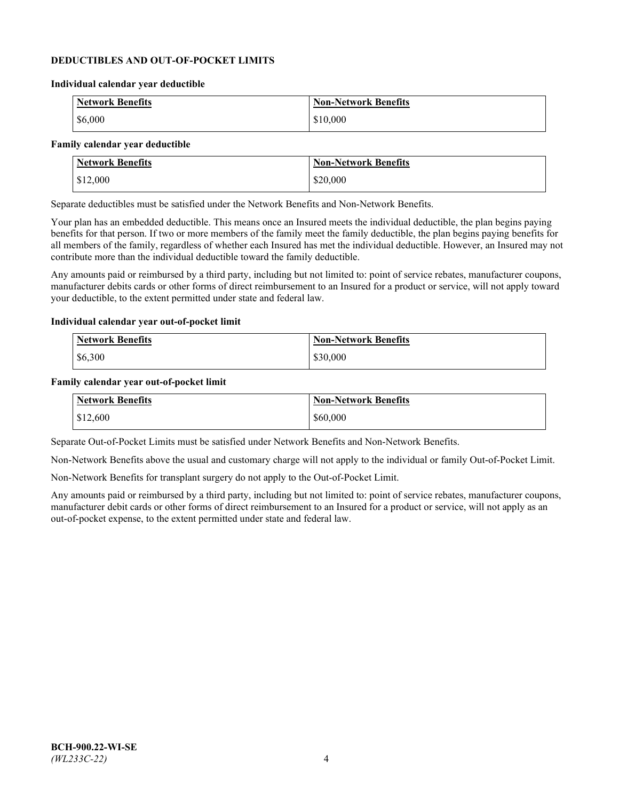### **DEDUCTIBLES AND OUT-OF-POCKET LIMITS**

#### **Individual calendar year deductible**

| <b>Network Benefits</b> | <b>Non-Network Benefits</b> |
|-------------------------|-----------------------------|
| \$6,000                 | \$10,000                    |

### **Family calendar year deductible**

| <b>Network Benefits</b> | <b>Non-Network Benefits</b> |
|-------------------------|-----------------------------|
| \$12,000                | \$20,000                    |

Separate deductibles must be satisfied under the Network Benefits and Non-Network Benefits.

Your plan has an embedded deductible. This means once an Insured meets the individual deductible, the plan begins paying benefits for that person. If two or more members of the family meet the family deductible, the plan begins paying benefits for all members of the family, regardless of whether each Insured has met the individual deductible. However, an Insured may not contribute more than the individual deductible toward the family deductible.

Any amounts paid or reimbursed by a third party, including but not limited to: point of service rebates, manufacturer coupons, manufacturer debits cards or other forms of direct reimbursement to an Insured for a product or service, will not apply toward your deductible, to the extent permitted under state and federal law.

#### **Individual calendar year out-of-pocket limit**

| Network Benefits | <b>Non-Network Benefits</b> |
|------------------|-----------------------------|
| \$6,300          | \$30,000                    |

#### **Family calendar year out-of-pocket limit**

| <b>Network Benefits</b> | Non-Network Benefits |
|-------------------------|----------------------|
| \$12,600                | \$60,000             |

Separate Out-of-Pocket Limits must be satisfied under Network Benefits and Non-Network Benefits.

Non-Network Benefits above the usual and customary charge will not apply to the individual or family Out-of-Pocket Limit.

Non-Network Benefits for transplant surgery do not apply to the Out-of-Pocket Limit.

Any amounts paid or reimbursed by a third party, including but not limited to: point of service rebates, manufacturer coupons, manufacturer debit cards or other forms of direct reimbursement to an Insured for a product or service, will not apply as an out-of-pocket expense, to the extent permitted under state and federal law.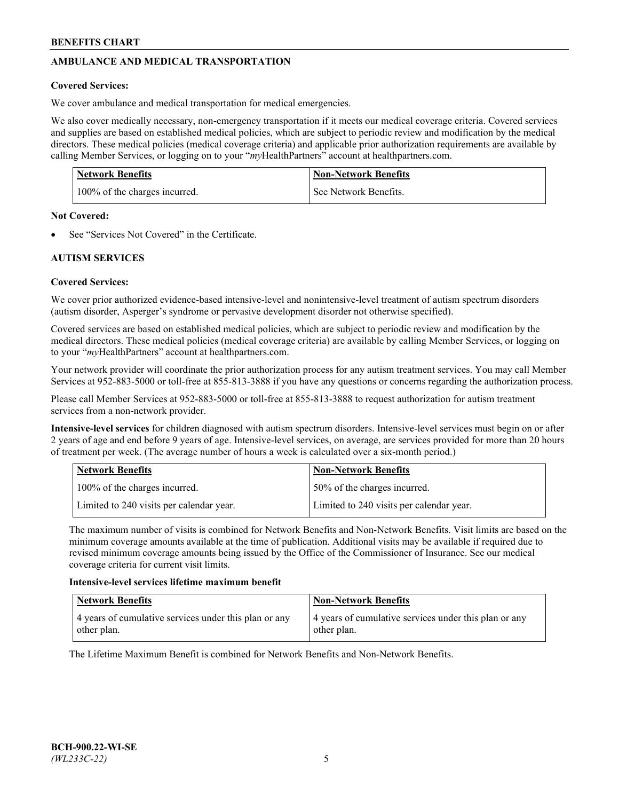# **AMBULANCE AND MEDICAL TRANSPORTATION**

## **Covered Services:**

We cover ambulance and medical transportation for medical emergencies.

We also cover medically necessary, non-emergency transportation if it meets our medical coverage criteria. Covered services and supplies are based on established medical policies, which are subject to periodic review and modification by the medical directors. These medical policies (medical coverage criteria) and applicable prior authorization requirements are available by calling Member Services, or logging on to your "*my*HealthPartners" account a[t healthpartners.com.](https://www.healthpartners.com/hp/index.html)

| <b>Network Benefits</b>       | <b>Non-Network Benefits</b> |
|-------------------------------|-----------------------------|
| 100% of the charges incurred. | See Network Benefits.       |

## **Not Covered:**

See "Services Not Covered" in the Certificate.

## **AUTISM SERVICES**

## **Covered Services:**

We cover prior authorized evidence-based intensive-level and nonintensive-level treatment of autism spectrum disorders (autism disorder, Asperger's syndrome or pervasive development disorder not otherwise specified).

Covered services are based on established medical policies, which are subject to periodic review and modification by the medical directors. These medical policies (medical coverage criteria) are available by calling Member Services, or logging on to your "*my*HealthPartners" account at [healthpartners.com.](https://www.healthpartners.com/hp/index.html)

Your network provider will coordinate the prior authorization process for any autism treatment services. You may call Member Services at 952-883-5000 or toll-free at 855-813-3888 if you have any questions or concerns regarding the authorization process.

Please call Member Services at 952-883-5000 or toll-free at 855-813-3888 to request authorization for autism treatment services from a non-network provider.

**Intensive-level services** for children diagnosed with autism spectrum disorders. Intensive-level services must begin on or after 2 years of age and end before 9 years of age. Intensive-level services, on average, are services provided for more than 20 hours of treatment per week. (The average number of hours a week is calculated over a six-month period.)

| Network Benefits                         | <b>Non-Network Benefits</b>              |
|------------------------------------------|------------------------------------------|
| 100% of the charges incurred.            | 50% of the charges incurred.             |
| Limited to 240 visits per calendar year. | Limited to 240 visits per calendar year. |

The maximum number of visits is combined for Network Benefits and Non-Network Benefits. Visit limits are based on the minimum coverage amounts available at the time of publication. Additional visits may be available if required due to revised minimum coverage amounts being issued by the Office of the Commissioner of Insurance. See our medical coverage criteria for current visit limits.

## **Intensive-level services lifetime maximum benefit**

| Network Benefits                                                     | <b>Non-Network Benefits</b>                                          |
|----------------------------------------------------------------------|----------------------------------------------------------------------|
| 4 years of cumulative services under this plan or any<br>other plan. | 4 years of cumulative services under this plan or any<br>other plan. |

The Lifetime Maximum Benefit is combined for Network Benefits and Non-Network Benefits.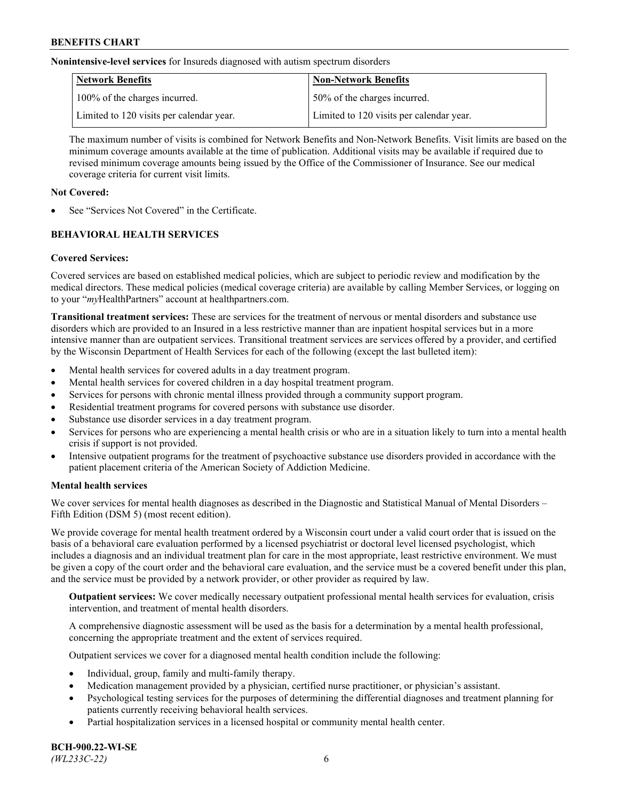**Nonintensive-level services** for Insureds diagnosed with autism spectrum disorders

| Network Benefits                         | <b>Non-Network Benefits</b>              |
|------------------------------------------|------------------------------------------|
| 100% of the charges incurred.            | 50% of the charges incurred.             |
| Limited to 120 visits per calendar year. | Limited to 120 visits per calendar year. |

The maximum number of visits is combined for Network Benefits and Non-Network Benefits. Visit limits are based on the minimum coverage amounts available at the time of publication. Additional visits may be available if required due to revised minimum coverage amounts being issued by the Office of the Commissioner of Insurance. See our medical coverage criteria for current visit limits.

## **Not Covered:**

See "Services Not Covered" in the Certificate.

## **BEHAVIORAL HEALTH SERVICES**

## **Covered Services:**

Covered services are based on established medical policies, which are subject to periodic review and modification by the medical directors. These medical policies (medical coverage criteria) are available by calling Member Services, or logging on to your "*my*HealthPartners" account at [healthpartners.com.](https://www.healthpartners.com/hp/index.html)

**Transitional treatment services:** These are services for the treatment of nervous or mental disorders and substance use disorders which are provided to an Insured in a less restrictive manner than are inpatient hospital services but in a more intensive manner than are outpatient services. Transitional treatment services are services offered by a provider, and certified by the Wisconsin Department of Health Services for each of the following (except the last bulleted item):

- Mental health services for covered adults in a day treatment program.
- Mental health services for covered children in a day hospital treatment program.
- Services for persons with chronic mental illness provided through a community support program.
- Residential treatment programs for covered persons with substance use disorder.
- Substance use disorder services in a day treatment program.
- Services for persons who are experiencing a mental health crisis or who are in a situation likely to turn into a mental health crisis if support is not provided.
- Intensive outpatient programs for the treatment of psychoactive substance use disorders provided in accordance with the patient placement criteria of the American Society of Addiction Medicine.

## **Mental health services**

We cover services for mental health diagnoses as described in the Diagnostic and Statistical Manual of Mental Disorders – Fifth Edition (DSM 5) (most recent edition).

We provide coverage for mental health treatment ordered by a Wisconsin court under a valid court order that is issued on the basis of a behavioral care evaluation performed by a licensed psychiatrist or doctoral level licensed psychologist, which includes a diagnosis and an individual treatment plan for care in the most appropriate, least restrictive environment. We must be given a copy of the court order and the behavioral care evaluation, and the service must be a covered benefit under this plan, and the service must be provided by a network provider, or other provider as required by law.

**Outpatient services:** We cover medically necessary outpatient professional mental health services for evaluation, crisis intervention, and treatment of mental health disorders.

A comprehensive diagnostic assessment will be used as the basis for a determination by a mental health professional, concerning the appropriate treatment and the extent of services required.

Outpatient services we cover for a diagnosed mental health condition include the following:

- Individual, group, family and multi-family therapy.
- Medication management provided by a physician, certified nurse practitioner, or physician's assistant.
- Psychological testing services for the purposes of determining the differential diagnoses and treatment planning for patients currently receiving behavioral health services.
- Partial hospitalization services in a licensed hospital or community mental health center.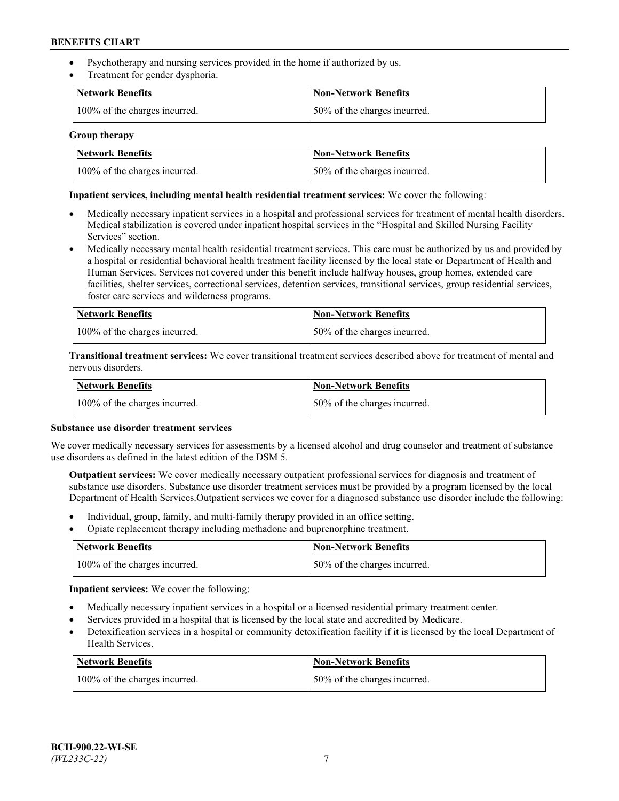- Psychotherapy and nursing services provided in the home if authorized by us.
- Treatment for gender dysphoria.

| <b>Network Benefits</b>       | <b>Non-Network Benefits</b>  |
|-------------------------------|------------------------------|
| 100% of the charges incurred. | 50% of the charges incurred. |

### **Group therapy**

| Network Benefits              | Non-Network Benefits          |
|-------------------------------|-------------------------------|
| 100% of the charges incurred. | 150% of the charges incurred. |

### **Inpatient services, including mental health residential treatment services:** We cover the following:

- Medically necessary inpatient services in a hospital and professional services for treatment of mental health disorders. Medical stabilization is covered under inpatient hospital services in the "Hospital and Skilled Nursing Facility Services" section.
- Medically necessary mental health residential treatment services. This care must be authorized by us and provided by a hospital or residential behavioral health treatment facility licensed by the local state or Department of Health and Human Services. Services not covered under this benefit include halfway houses, group homes, extended care facilities, shelter services, correctional services, detention services, transitional services, group residential services, foster care services and wilderness programs.

| <b>Network Benefits</b>       | Non-Network Benefits         |
|-------------------------------|------------------------------|
| 100% of the charges incurred. | 50% of the charges incurred. |

**Transitional treatment services:** We cover transitional treatment services described above for treatment of mental and nervous disorders.

| <b>Network Benefits</b>       | <b>Non-Network Benefits</b>  |
|-------------------------------|------------------------------|
| 100% of the charges incurred. | 50% of the charges incurred. |

#### **Substance use disorder treatment services**

We cover medically necessary services for assessments by a licensed alcohol and drug counselor and treatment of substance use disorders as defined in the latest edition of the DSM 5.

**Outpatient services:** We cover medically necessary outpatient professional services for diagnosis and treatment of substance use disorders. Substance use disorder treatment services must be provided by a program licensed by the local Department of Health Services.Outpatient services we cover for a diagnosed substance use disorder include the following:

- Individual, group, family, and multi-family therapy provided in an office setting.
- Opiate replacement therapy including methadone and buprenorphine treatment.

| Network Benefits              | Non-Network Benefits         |
|-------------------------------|------------------------------|
| 100% of the charges incurred. | 50% of the charges incurred. |

**Inpatient services:** We cover the following:

- Medically necessary inpatient services in a hospital or a licensed residential primary treatment center.
- Services provided in a hospital that is licensed by the local state and accredited by Medicare.
- Detoxification services in a hospital or community detoxification facility if it is licensed by the local Department of Health Services.

| Network Benefits              | <b>Non-Network Benefits</b>  |
|-------------------------------|------------------------------|
| 100% of the charges incurred. | 50% of the charges incurred. |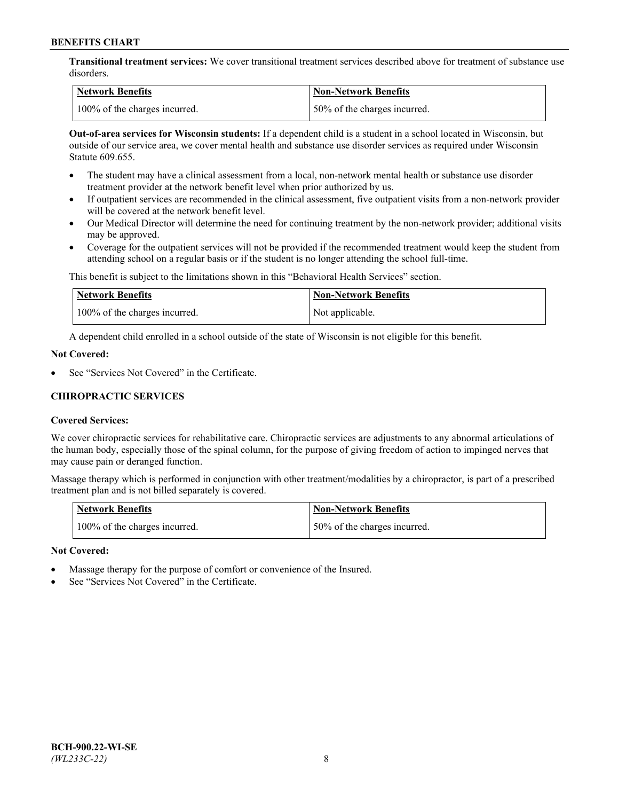**Transitional treatment services:** We cover transitional treatment services described above for treatment of substance use disorders.

| Network Benefits              | <b>Non-Network Benefits</b>   |
|-------------------------------|-------------------------------|
| 100% of the charges incurred. | 150% of the charges incurred. |

**Out-of-area services for Wisconsin students:** If a dependent child is a student in a school located in Wisconsin, but outside of our service area, we cover mental health and substance use disorder services as required under Wisconsin Statute 609.655.

- The student may have a clinical assessment from a local, non-network mental health or substance use disorder treatment provider at the network benefit level when prior authorized by us.
- If outpatient services are recommended in the clinical assessment, five outpatient visits from a non-network provider will be covered at the network benefit level.
- Our Medical Director will determine the need for continuing treatment by the non-network provider; additional visits may be approved.
- Coverage for the outpatient services will not be provided if the recommended treatment would keep the student from attending school on a regular basis or if the student is no longer attending the school full-time.

This benefit is subject to the limitations shown in this "Behavioral Health Services" section.

| <b>Network Benefits</b>       | <b>Non-Network Benefits</b> |
|-------------------------------|-----------------------------|
| 100% of the charges incurred. | Not applicable.             |

A dependent child enrolled in a school outside of the state of Wisconsin is not eligible for this benefit.

## **Not Covered:**

See "Services Not Covered" in the Certificate.

## **CHIROPRACTIC SERVICES**

## **Covered Services:**

We cover chiropractic services for rehabilitative care. Chiropractic services are adjustments to any abnormal articulations of the human body, especially those of the spinal column, for the purpose of giving freedom of action to impinged nerves that may cause pain or deranged function.

Massage therapy which is performed in conjunction with other treatment/modalities by a chiropractor, is part of a prescribed treatment plan and is not billed separately is covered.

| <b>Network Benefits</b>       | <b>Non-Network Benefits</b>  |
|-------------------------------|------------------------------|
| 100% of the charges incurred. | 50% of the charges incurred. |

#### **Not Covered:**

- Massage therapy for the purpose of comfort or convenience of the Insured.
- See "Services Not Covered" in the Certificate.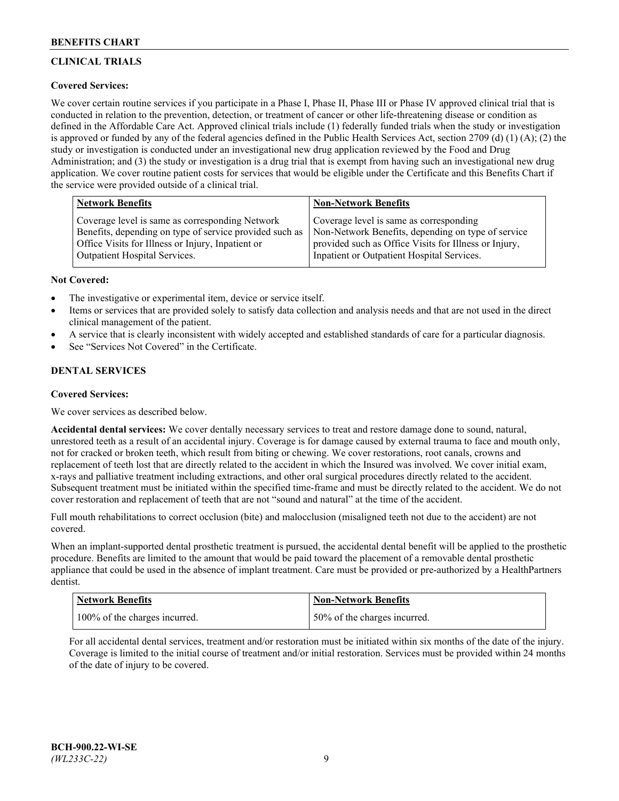# **CLINICAL TRIALS**

## **Covered Services:**

We cover certain routine services if you participate in a Phase I, Phase II, Phase III or Phase IV approved clinical trial that is conducted in relation to the prevention, detection, or treatment of cancer or other life-threatening disease or condition as defined in the Affordable Care Act. Approved clinical trials include (1) federally funded trials when the study or investigation is approved or funded by any of the federal agencies defined in the Public Health Services Act, section 2709 (d) (1) (A); (2) the study or investigation is conducted under an investigational new drug application reviewed by the Food and Drug Administration; and (3) the study or investigation is a drug trial that is exempt from having such an investigational new drug application. We cover routine patient costs for services that would be eligible under the Certificate and this Benefits Chart if the service were provided outside of a clinical trial.

| <b>Network Benefits</b>                                 | <b>Non-Network Benefits</b>                           |
|---------------------------------------------------------|-------------------------------------------------------|
| Coverage level is same as corresponding Network         | Coverage level is same as corresponding               |
| Benefits, depending on type of service provided such as | Non-Network Benefits, depending on type of service    |
| Office Visits for Illness or Injury, Inpatient or       | provided such as Office Visits for Illness or Injury, |
| Outpatient Hospital Services.                           | Inpatient or Outpatient Hospital Services.            |

## **Not Covered:**

- The investigative or experimental item, device or service itself.
- Items or services that are provided solely to satisfy data collection and analysis needs and that are not used in the direct clinical management of the patient.
- A service that is clearly inconsistent with widely accepted and established standards of care for a particular diagnosis.
- See "Services Not Covered" in the Certificate.

## **DENTAL SERVICES**

## **Covered Services:**

We cover services as described below.

**Accidental dental services:** We cover dentally necessary services to treat and restore damage done to sound, natural, unrestored teeth as a result of an accidental injury. Coverage is for damage caused by external trauma to face and mouth only, not for cracked or broken teeth, which result from biting or chewing. We cover restorations, root canals, crowns and replacement of teeth lost that are directly related to the accident in which the Insured was involved. We cover initial exam, x-rays and palliative treatment including extractions, and other oral surgical procedures directly related to the accident. Subsequent treatment must be initiated within the specified time-frame and must be directly related to the accident. We do not cover restoration and replacement of teeth that are not "sound and natural" at the time of the accident.

Full mouth rehabilitations to correct occlusion (bite) and malocclusion (misaligned teeth not due to the accident) are not covered.

When an implant-supported dental prosthetic treatment is pursued, the accidental dental benefit will be applied to the prosthetic procedure. Benefits are limited to the amount that would be paid toward the placement of a removable dental prosthetic appliance that could be used in the absence of implant treatment. Care must be provided or pre-authorized by a HealthPartners dentist.

| Network Benefits              | <b>Non-Network Benefits</b>  |
|-------------------------------|------------------------------|
| 100% of the charges incurred. | 50% of the charges incurred. |

For all accidental dental services, treatment and/or restoration must be initiated within six months of the date of the injury. Coverage is limited to the initial course of treatment and/or initial restoration. Services must be provided within 24 months of the date of injury to be covered.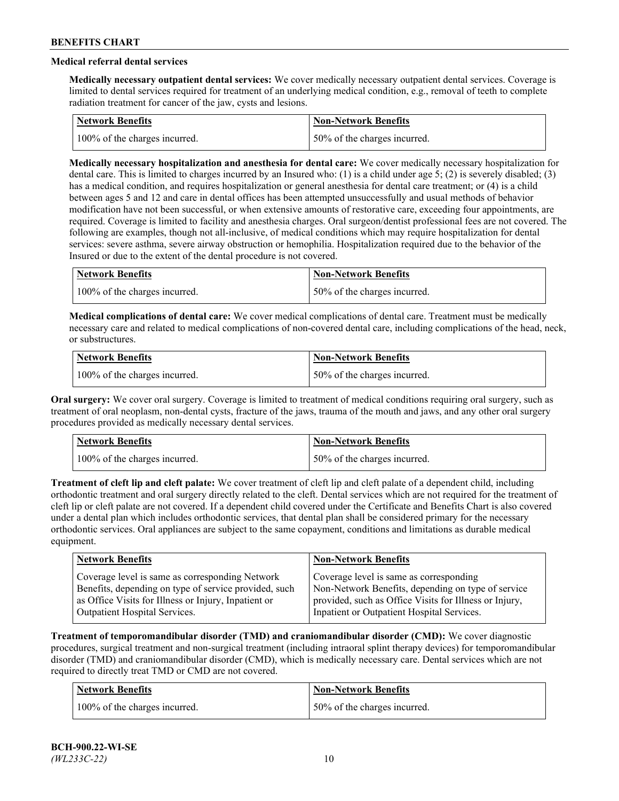## **Medical referral dental services**

**Medically necessary outpatient dental services:** We cover medically necessary outpatient dental services. Coverage is limited to dental services required for treatment of an underlying medical condition, e.g., removal of teeth to complete radiation treatment for cancer of the jaw, cysts and lesions.

| Network Benefits              | <b>Non-Network Benefits</b>  |
|-------------------------------|------------------------------|
| 100% of the charges incurred. | 50% of the charges incurred. |

**Medically necessary hospitalization and anesthesia for dental care:** We cover medically necessary hospitalization for dental care. This is limited to charges incurred by an Insured who: (1) is a child under age 5; (2) is severely disabled; (3) has a medical condition, and requires hospitalization or general anesthesia for dental care treatment; or (4) is a child between ages 5 and 12 and care in dental offices has been attempted unsuccessfully and usual methods of behavior modification have not been successful, or when extensive amounts of restorative care, exceeding four appointments, are required. Coverage is limited to facility and anesthesia charges. Oral surgeon/dentist professional fees are not covered. The following are examples, though not all-inclusive, of medical conditions which may require hospitalization for dental services: severe asthma, severe airway obstruction or hemophilia. Hospitalization required due to the behavior of the Insured or due to the extent of the dental procedure is not covered.

| Network Benefits              | <b>Non-Network Benefits</b>  |
|-------------------------------|------------------------------|
| 100% of the charges incurred. | 50% of the charges incurred. |

**Medical complications of dental care:** We cover medical complications of dental care. Treatment must be medically necessary care and related to medical complications of non-covered dental care, including complications of the head, neck, or substructures.

| Network Benefits              | Non-Network Benefits         |
|-------------------------------|------------------------------|
| 100% of the charges incurred. | 50% of the charges incurred. |

**Oral surgery:** We cover oral surgery. Coverage is limited to treatment of medical conditions requiring oral surgery, such as treatment of oral neoplasm, non-dental cysts, fracture of the jaws, trauma of the mouth and jaws, and any other oral surgery procedures provided as medically necessary dental services.

| <b>Network Benefits</b>       | <b>Non-Network Benefits</b>   |
|-------------------------------|-------------------------------|
| 100% of the charges incurred. | 150% of the charges incurred. |

**Treatment of cleft lip and cleft palate:** We cover treatment of cleft lip and cleft palate of a dependent child, including orthodontic treatment and oral surgery directly related to the cleft. Dental services which are not required for the treatment of cleft lip or cleft palate are not covered. If a dependent child covered under the Certificate and Benefits Chart is also covered under a dental plan which includes orthodontic services, that dental plan shall be considered primary for the necessary orthodontic services. Oral appliances are subject to the same copayment, conditions and limitations as durable medical equipment.

| <b>Network Benefits</b>                               | <b>Non-Network Benefits</b>                            |
|-------------------------------------------------------|--------------------------------------------------------|
| Coverage level is same as corresponding Network       | Coverage level is same as corresponding                |
| Benefits, depending on type of service provided, such | Non-Network Benefits, depending on type of service     |
| as Office Visits for Illness or Injury, Inpatient or  | provided, such as Office Visits for Illness or Injury, |
| Outpatient Hospital Services.                         | Inpatient or Outpatient Hospital Services.             |

**Treatment of temporomandibular disorder (TMD) and craniomandibular disorder (CMD):** We cover diagnostic procedures, surgical treatment and non-surgical treatment (including intraoral splint therapy devices) for temporomandibular disorder (TMD) and craniomandibular disorder (CMD), which is medically necessary care. Dental services which are not required to directly treat TMD or CMD are not covered.

| <b>Network Benefits</b>       | <b>Non-Network Benefits</b>   |
|-------------------------------|-------------------------------|
| 100% of the charges incurred. | 150% of the charges incurred. |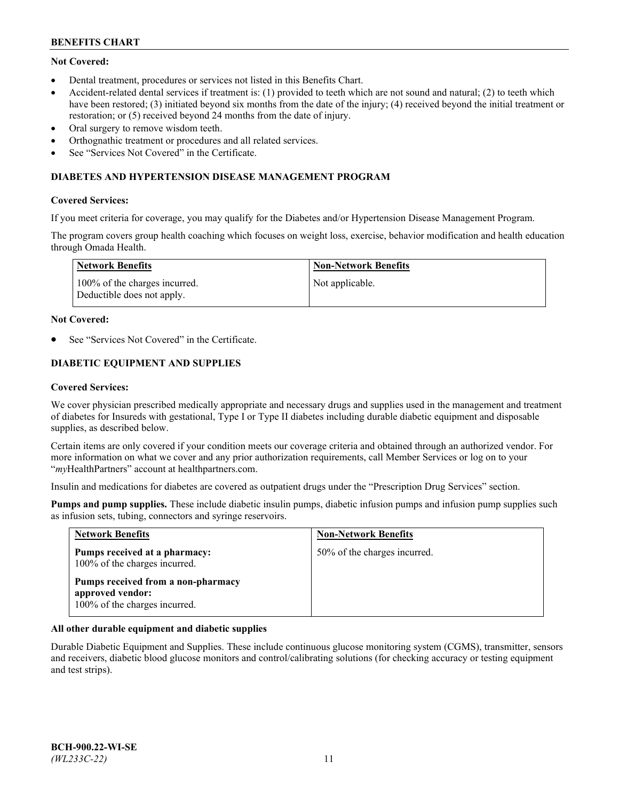## **Not Covered:**

- Dental treatment, procedures or services not listed in this Benefits Chart.
- Accident-related dental services if treatment is: (1) provided to teeth which are not sound and natural; (2) to teeth which have been restored; (3) initiated beyond six months from the date of the injury; (4) received beyond the initial treatment or restoration; or (5) received beyond 24 months from the date of injury.
- Oral surgery to remove wisdom teeth.
- Orthognathic treatment or procedures and all related services.
- See "Services Not Covered" in the Certificate.

### **DIABETES AND HYPERTENSION DISEASE MANAGEMENT PROGRAM**

### **Covered Services:**

If you meet criteria for coverage, you may qualify for the Diabetes and/or Hypertension Disease Management Program.

The program covers group health coaching which focuses on weight loss, exercise, behavior modification and health education through Omada Health.

| Network Benefits                                            | Non-Network Benefits |
|-------------------------------------------------------------|----------------------|
| 100% of the charges incurred.<br>Deductible does not apply. | Not applicable.      |

#### **Not Covered:**

See "Services Not Covered" in the Certificate.

## **DIABETIC EQUIPMENT AND SUPPLIES**

### **Covered Services:**

We cover physician prescribed medically appropriate and necessary drugs and supplies used in the management and treatment of diabetes for Insureds with gestational, Type I or Type II diabetes including durable diabetic equipment and disposable supplies, as described below.

Certain items are only covered if your condition meets our coverage criteria and obtained through an authorized vendor. For more information on what we cover and any prior authorization requirements, call Member Services or log on to your "*my*HealthPartners" account at [healthpartners.com.](http://www.healthpartners.com/)

Insulin and medications for diabetes are covered as outpatient drugs under the "Prescription Drug Services" section.

**Pumps and pump supplies.** These include diabetic insulin pumps, diabetic infusion pumps and infusion pump supplies such as infusion sets, tubing, connectors and syringe reservoirs.

| <b>Network Benefits</b>                                                                 | <b>Non-Network Benefits</b>  |
|-----------------------------------------------------------------------------------------|------------------------------|
| Pumps received at a pharmacy:<br>100% of the charges incurred.                          | 50% of the charges incurred. |
| Pumps received from a non-pharmacy<br>approved vendor:<br>100% of the charges incurred. |                              |

## **All other durable equipment and diabetic supplies**

Durable Diabetic Equipment and Supplies. These include continuous glucose monitoring system (CGMS), transmitter, sensors and receivers, diabetic blood glucose monitors and control/calibrating solutions (for checking accuracy or testing equipment and test strips).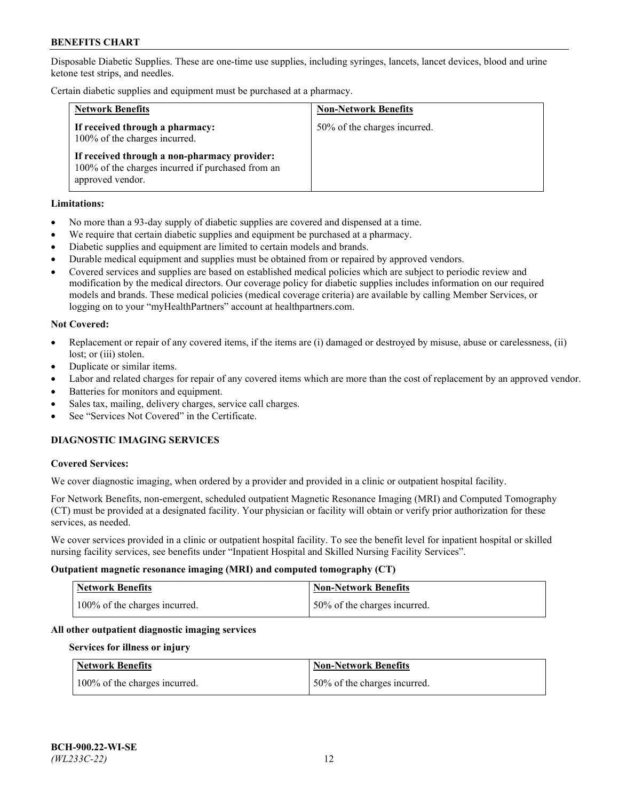Disposable Diabetic Supplies. These are one-time use supplies, including syringes, lancets, lancet devices, blood and urine ketone test strips, and needles.

Certain diabetic supplies and equipment must be purchased at a pharmacy.

| <b>Network Benefits</b>                                                                                               | <b>Non-Network Benefits</b>  |
|-----------------------------------------------------------------------------------------------------------------------|------------------------------|
| If received through a pharmacy:<br>100% of the charges incurred.                                                      | 50% of the charges incurred. |
| If received through a non-pharmacy provider:<br>100% of the charges incurred if purchased from an<br>approved vendor. |                              |

### **Limitations:**

- No more than a 93-day supply of diabetic supplies are covered and dispensed at a time.
- We require that certain diabetic supplies and equipment be purchased at a pharmacy.
- Diabetic supplies and equipment are limited to certain models and brands.
- Durable medical equipment and supplies must be obtained from or repaired by approved vendors.
- Covered services and supplies are based on established medical policies which are subject to periodic review and modification by the medical directors. Our coverage policy for diabetic supplies includes information on our required models and brands. These medical policies (medical coverage criteria) are available by calling Member Services, or logging on to your "myHealthPartners" account at [healthpartners.com.](http://www.healthpartners.com/)

### **Not Covered:**

- Replacement or repair of any covered items, if the items are (i) damaged or destroyed by misuse, abuse or carelessness, (ii) lost; or (iii) stolen.
- Duplicate or similar items.
- Labor and related charges for repair of any covered items which are more than the cost of replacement by an approved vendor.
- Batteries for monitors and equipment.
- Sales tax, mailing, delivery charges, service call charges.
- See "Services Not Covered" in the Certificate.

## **DIAGNOSTIC IMAGING SERVICES**

#### **Covered Services:**

We cover diagnostic imaging, when ordered by a provider and provided in a clinic or outpatient hospital facility.

For Network Benefits, non-emergent, scheduled outpatient Magnetic Resonance Imaging (MRI) and Computed Tomography (CT) must be provided at a designated facility. Your physician or facility will obtain or verify prior authorization for these services, as needed.

We cover services provided in a clinic or outpatient hospital facility. To see the benefit level for inpatient hospital or skilled nursing facility services, see benefits under "Inpatient Hospital and Skilled Nursing Facility Services".

#### **Outpatient magnetic resonance imaging (MRI) and computed tomography (CT)**

| <b>Network Benefits</b>       | <b>Non-Network Benefits</b>   |
|-------------------------------|-------------------------------|
| 100% of the charges incurred. | 150% of the charges incurred. |

## **All other outpatient diagnostic imaging services**

#### **Services for illness or injury**

| <b>Network Benefits</b>       | <b>Non-Network Benefits</b>  |
|-------------------------------|------------------------------|
| 100% of the charges incurred. | 50% of the charges incurred. |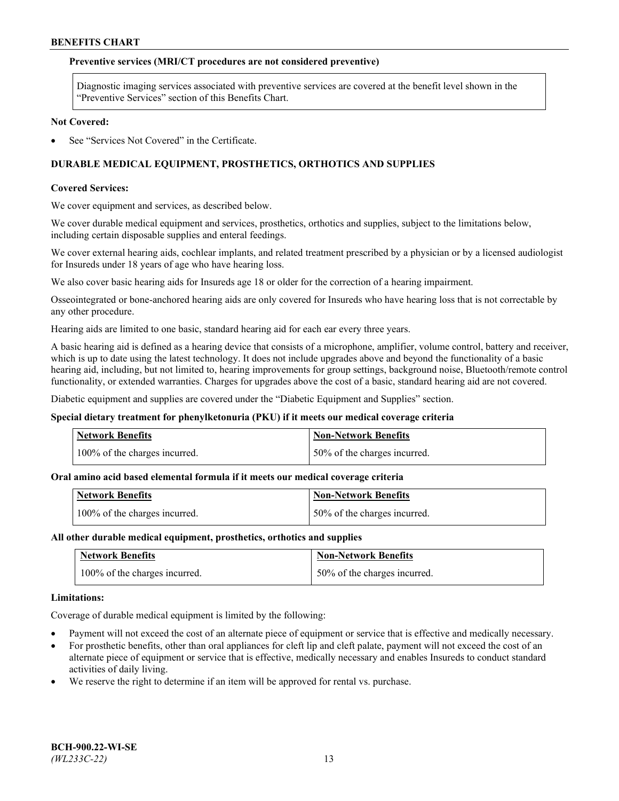### **Preventive services (MRI/CT procedures are not considered preventive)**

Diagnostic imaging services associated with preventive services are covered at the benefit level shown in the "Preventive Services" section of this Benefits Chart.

#### **Not Covered:**

See "Services Not Covered" in the Certificate.

## **DURABLE MEDICAL EQUIPMENT, PROSTHETICS, ORTHOTICS AND SUPPLIES**

#### **Covered Services:**

We cover equipment and services, as described below.

We cover durable medical equipment and services, prosthetics, orthotics and supplies, subject to the limitations below, including certain disposable supplies and enteral feedings.

We cover external hearing aids, cochlear implants, and related treatment prescribed by a physician or by a licensed audiologist for Insureds under 18 years of age who have hearing loss.

We also cover basic hearing aids for Insureds age 18 or older for the correction of a hearing impairment.

Osseointegrated or bone-anchored hearing aids are only covered for Insureds who have hearing loss that is not correctable by any other procedure.

Hearing aids are limited to one basic, standard hearing aid for each ear every three years.

A basic hearing aid is defined as a hearing device that consists of a microphone, amplifier, volume control, battery and receiver, which is up to date using the latest technology. It does not include upgrades above and beyond the functionality of a basic hearing aid, including, but not limited to, hearing improvements for group settings, background noise, Bluetooth/remote control functionality, or extended warranties. Charges for upgrades above the cost of a basic, standard hearing aid are not covered.

Diabetic equipment and supplies are covered under the "Diabetic Equipment and Supplies" section.

#### **Special dietary treatment for phenylketonuria (PKU) if it meets our medical coverage criteria**

| <b>Network Benefits</b>       | <b>Non-Network Benefits</b>   |
|-------------------------------|-------------------------------|
| 100% of the charges incurred. | 150% of the charges incurred. |

#### **Oral amino acid based elemental formula if it meets our medical coverage criteria**

| <b>Network Benefits</b>       | Non-Network Benefits         |
|-------------------------------|------------------------------|
| 100% of the charges incurred. | 50% of the charges incurred. |

#### **All other durable medical equipment, prosthetics, orthotics and supplies**

| <b>Network Benefits</b>       | <b>Non-Network Benefits</b>  |
|-------------------------------|------------------------------|
| 100% of the charges incurred. | 50% of the charges incurred. |

#### **Limitations:**

Coverage of durable medical equipment is limited by the following:

- Payment will not exceed the cost of an alternate piece of equipment or service that is effective and medically necessary.
- For prosthetic benefits, other than oral appliances for cleft lip and cleft palate, payment will not exceed the cost of an alternate piece of equipment or service that is effective, medically necessary and enables Insureds to conduct standard activities of daily living.
- We reserve the right to determine if an item will be approved for rental vs. purchase.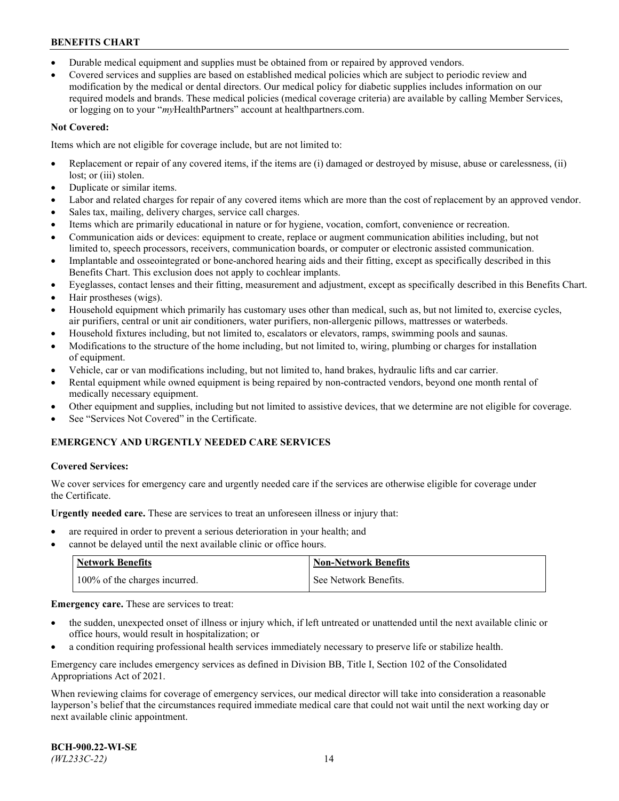- Durable medical equipment and supplies must be obtained from or repaired by approved vendors.
- Covered services and supplies are based on established medical policies which are subject to periodic review and modification by the medical or dental directors. Our medical policy for diabetic supplies includes information on our required models and brands. These medical policies (medical coverage criteria) are available by calling Member Services, or logging on to your "*my*HealthPartners" account a[t healthpartners.com.](http://www.healthpartners.com/)

## **Not Covered:**

Items which are not eligible for coverage include, but are not limited to:

- Replacement or repair of any covered items, if the items are (i) damaged or destroyed by misuse, abuse or carelessness, (ii) lost; or (iii) stolen.
- Duplicate or similar items.
- Labor and related charges for repair of any covered items which are more than the cost of replacement by an approved vendor.
- Sales tax, mailing, delivery charges, service call charges.
- Items which are primarily educational in nature or for hygiene, vocation, comfort, convenience or recreation.
- Communication aids or devices: equipment to create, replace or augment communication abilities including, but not limited to, speech processors, receivers, communication boards, or computer or electronic assisted communication.
- Implantable and osseointegrated or bone-anchored hearing aids and their fitting, except as specifically described in this Benefits Chart. This exclusion does not apply to cochlear implants.
- Eyeglasses, contact lenses and their fitting, measurement and adjustment, except as specifically described in this Benefits Chart.
- Hair prostheses (wigs).
- Household equipment which primarily has customary uses other than medical, such as, but not limited to, exercise cycles, air purifiers, central or unit air conditioners, water purifiers, non-allergenic pillows, mattresses or waterbeds.
- Household fixtures including, but not limited to, escalators or elevators, ramps, swimming pools and saunas.
- Modifications to the structure of the home including, but not limited to, wiring, plumbing or charges for installation of equipment.
- Vehicle, car or van modifications including, but not limited to, hand brakes, hydraulic lifts and car carrier.
- Rental equipment while owned equipment is being repaired by non-contracted vendors, beyond one month rental of medically necessary equipment.
- Other equipment and supplies, including but not limited to assistive devices, that we determine are not eligible for coverage.
- See "Services Not Covered" in the Certificate.

## **EMERGENCY AND URGENTLY NEEDED CARE SERVICES**

## **Covered Services:**

We cover services for emergency care and urgently needed care if the services are otherwise eligible for coverage under the Certificate.

**Urgently needed care.** These are services to treat an unforeseen illness or injury that:

- are required in order to prevent a serious deterioration in your health; and
- cannot be delayed until the next available clinic or office hours.

| <b>Network Benefits</b>       | Non-Network Benefits  |
|-------------------------------|-----------------------|
| 100% of the charges incurred. | See Network Benefits. |

**Emergency care.** These are services to treat:

- the sudden, unexpected onset of illness or injury which, if left untreated or unattended until the next available clinic or office hours, would result in hospitalization; or
- a condition requiring professional health services immediately necessary to preserve life or stabilize health.

Emergency care includes emergency services as defined in Division BB, Title I, Section 102 of the Consolidated Appropriations Act of 2021.

When reviewing claims for coverage of emergency services, our medical director will take into consideration a reasonable layperson's belief that the circumstances required immediate medical care that could not wait until the next working day or next available clinic appointment.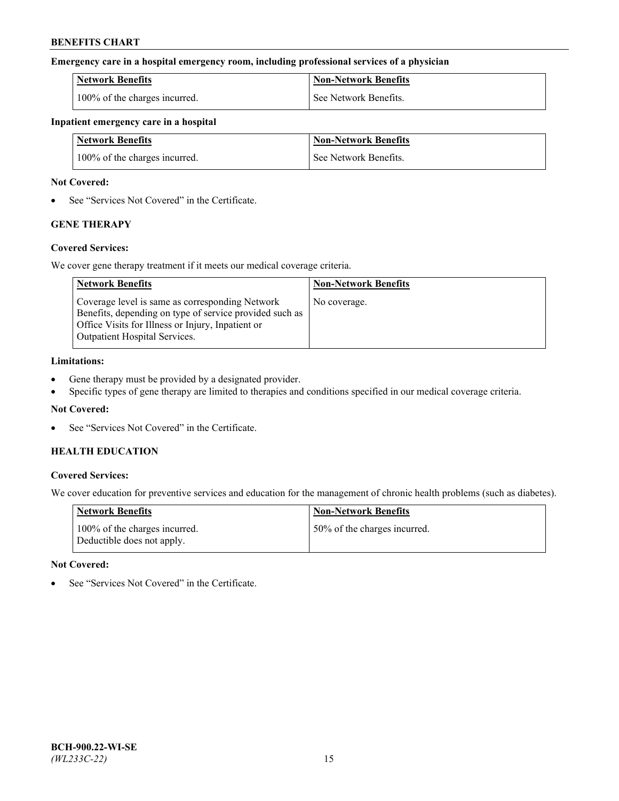### **Emergency care in a hospital emergency room, including professional services of a physician**

| <b>Network Benefits</b>       | <b>Non-Network Benefits</b> |
|-------------------------------|-----------------------------|
| 100% of the charges incurred. | See Network Benefits.       |

### **Inpatient emergency care in a hospital**

| <b>Network Benefits</b>       | <b>Non-Network Benefits</b> |
|-------------------------------|-----------------------------|
| 100% of the charges incurred. | See Network Benefits.       |

### **Not Covered:**

• See "Services Not Covered" in the Certificate.

## **GENE THERAPY**

## **Covered Services:**

We cover gene therapy treatment if it meets our medical coverage criteria.

| <b>Network Benefits</b>                                                                                                                                                                          | <b>Non-Network Benefits</b> |
|--------------------------------------------------------------------------------------------------------------------------------------------------------------------------------------------------|-----------------------------|
| Coverage level is same as corresponding Network<br>Benefits, depending on type of service provided such as<br>Office Visits for Illness or Injury, Inpatient or<br>Outpatient Hospital Services. | No coverage.                |

### **Limitations:**

- Gene therapy must be provided by a designated provider.
- Specific types of gene therapy are limited to therapies and conditions specified in our medical coverage criteria.

## **Not Covered:**

See "Services Not Covered" in the Certificate.

## **HEALTH EDUCATION**

## **Covered Services:**

We cover education for preventive services and education for the management of chronic health problems (such as diabetes).

| <b>Network Benefits</b>                                     | <b>Non-Network Benefits</b>  |
|-------------------------------------------------------------|------------------------------|
| 100% of the charges incurred.<br>Deductible does not apply. | 50% of the charges incurred. |

#### **Not Covered:**

See "Services Not Covered" in the Certificate.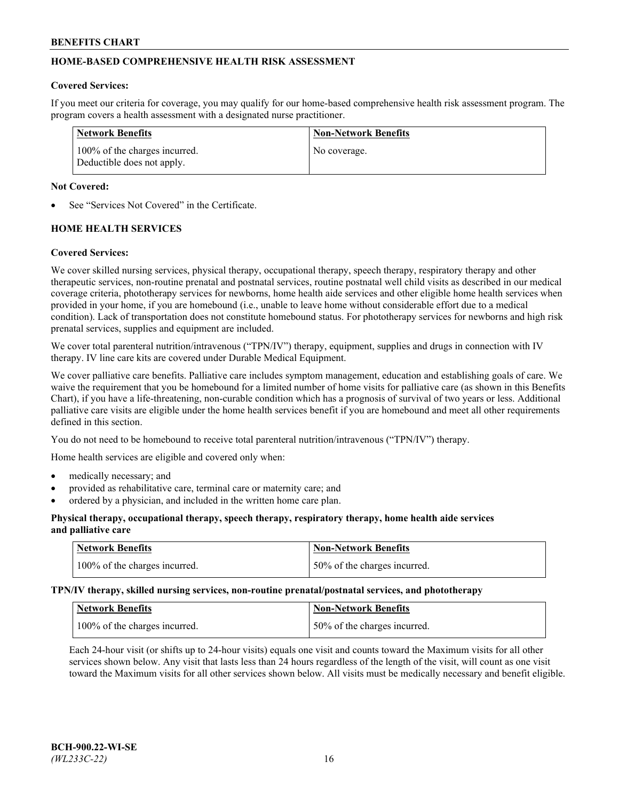## **HOME-BASED COMPREHENSIVE HEALTH RISK ASSESSMENT**

### **Covered Services:**

If you meet our criteria for coverage, you may qualify for our home-based comprehensive health risk assessment program. The program covers a health assessment with a designated nurse practitioner.

| Network Benefits                                            | <b>Non-Network Benefits</b> |
|-------------------------------------------------------------|-----------------------------|
| 100% of the charges incurred.<br>Deductible does not apply. | No coverage.                |

### **Not Covered:**

See "Services Not Covered" in the Certificate.

## **HOME HEALTH SERVICES**

### **Covered Services:**

We cover skilled nursing services, physical therapy, occupational therapy, speech therapy, respiratory therapy and other therapeutic services, non-routine prenatal and postnatal services, routine postnatal well child visits as described in our medical coverage criteria, phototherapy services for newborns, home health aide services and other eligible home health services when provided in your home, if you are homebound (i.e., unable to leave home without considerable effort due to a medical condition). Lack of transportation does not constitute homebound status. For phototherapy services for newborns and high risk prenatal services, supplies and equipment are included.

We cover total parenteral nutrition/intravenous ("TPN/IV") therapy, equipment, supplies and drugs in connection with IV therapy. IV line care kits are covered under Durable Medical Equipment.

We cover palliative care benefits. Palliative care includes symptom management, education and establishing goals of care. We waive the requirement that you be homebound for a limited number of home visits for palliative care (as shown in this Benefits Chart), if you have a life-threatening, non-curable condition which has a prognosis of survival of two years or less. Additional palliative care visits are eligible under the home health services benefit if you are homebound and meet all other requirements defined in this section.

You do not need to be homebound to receive total parenteral nutrition/intravenous ("TPN/IV") therapy.

Home health services are eligible and covered only when:

- medically necessary; and
- provided as rehabilitative care, terminal care or maternity care; and
- ordered by a physician, and included in the written home care plan.

### **Physical therapy, occupational therapy, speech therapy, respiratory therapy, home health aide services and palliative care**

| <b>Network Benefits</b>       | <b>Non-Network Benefits</b>  |
|-------------------------------|------------------------------|
| 100% of the charges incurred. | 50% of the charges incurred. |

**TPN/IV therapy, skilled nursing services, non-routine prenatal/postnatal services, and phototherapy**

| <b>Network Benefits</b>       | <b>Non-Network Benefits</b>  |
|-------------------------------|------------------------------|
| 100% of the charges incurred. | 50% of the charges incurred. |

Each 24-hour visit (or shifts up to 24-hour visits) equals one visit and counts toward the Maximum visits for all other services shown below. Any visit that lasts less than 24 hours regardless of the length of the visit, will count as one visit toward the Maximum visits for all other services shown below. All visits must be medically necessary and benefit eligible.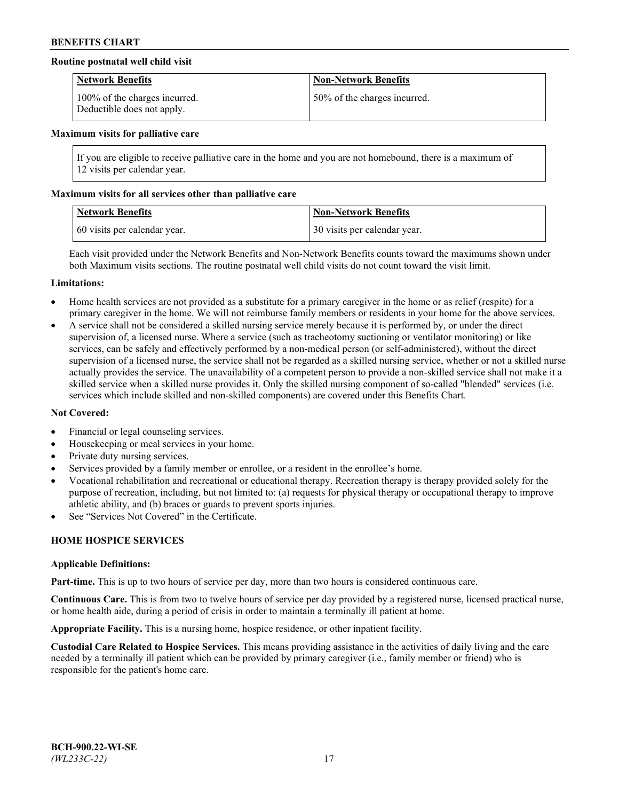## **Routine postnatal well child visit**

| <b>Network Benefits</b>                                     | <b>Non-Network Benefits</b>  |
|-------------------------------------------------------------|------------------------------|
| 100% of the charges incurred.<br>Deductible does not apply. | 50% of the charges incurred. |

#### **Maximum visits for palliative care**

If you are eligible to receive palliative care in the home and you are not homebound, there is a maximum of 12 visits per calendar year.

### **Maximum visits for all services other than palliative care**

| <b>Network Benefits</b>      | <b>Non-Network Benefits</b>  |
|------------------------------|------------------------------|
| 60 visits per calendar year. | 30 visits per calendar year. |

Each visit provided under the Network Benefits and Non-Network Benefits counts toward the maximums shown under both Maximum visits sections. The routine postnatal well child visits do not count toward the visit limit.

#### **Limitations:**

- Home health services are not provided as a substitute for a primary caregiver in the home or as relief (respite) for a primary caregiver in the home. We will not reimburse family members or residents in your home for the above services.
- A service shall not be considered a skilled nursing service merely because it is performed by, or under the direct supervision of, a licensed nurse. Where a service (such as tracheotomy suctioning or ventilator monitoring) or like services, can be safely and effectively performed by a non-medical person (or self-administered), without the direct supervision of a licensed nurse, the service shall not be regarded as a skilled nursing service, whether or not a skilled nurse actually provides the service. The unavailability of a competent person to provide a non-skilled service shall not make it a skilled service when a skilled nurse provides it. Only the skilled nursing component of so-called "blended" services (i.e. services which include skilled and non-skilled components) are covered under this Benefits Chart.

#### **Not Covered:**

- Financial or legal counseling services.
- Housekeeping or meal services in your home.
- Private duty nursing services.
- Services provided by a family member or enrollee, or a resident in the enrollee's home.
- Vocational rehabilitation and recreational or educational therapy. Recreation therapy is therapy provided solely for the purpose of recreation, including, but not limited to: (a) requests for physical therapy or occupational therapy to improve athletic ability, and (b) braces or guards to prevent sports injuries.
- See "Services Not Covered" in the Certificate.

## **HOME HOSPICE SERVICES**

#### **Applicable Definitions:**

**Part-time.** This is up to two hours of service per day, more than two hours is considered continuous care.

**Continuous Care.** This is from two to twelve hours of service per day provided by a registered nurse, licensed practical nurse, or home health aide, during a period of crisis in order to maintain a terminally ill patient at home.

**Appropriate Facility.** This is a nursing home, hospice residence, or other inpatient facility.

**Custodial Care Related to Hospice Services.** This means providing assistance in the activities of daily living and the care needed by a terminally ill patient which can be provided by primary caregiver (i.e., family member or friend) who is responsible for the patient's home care.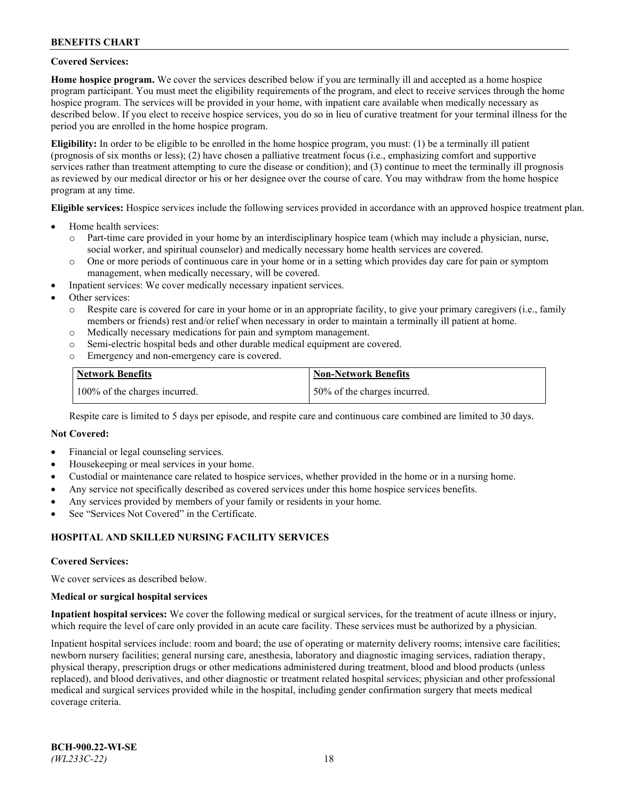### **Covered Services:**

**Home hospice program.** We cover the services described below if you are terminally ill and accepted as a home hospice program participant. You must meet the eligibility requirements of the program, and elect to receive services through the home hospice program. The services will be provided in your home, with inpatient care available when medically necessary as described below. If you elect to receive hospice services, you do so in lieu of curative treatment for your terminal illness for the period you are enrolled in the home hospice program.

**Eligibility:** In order to be eligible to be enrolled in the home hospice program, you must: (1) be a terminally ill patient (prognosis of six months or less); (2) have chosen a palliative treatment focus (i.e., emphasizing comfort and supportive services rather than treatment attempting to cure the disease or condition); and (3) continue to meet the terminally ill prognosis as reviewed by our medical director or his or her designee over the course of care. You may withdraw from the home hospice program at any time.

**Eligible services:** Hospice services include the following services provided in accordance with an approved hospice treatment plan.

- Home health services:
	- o Part-time care provided in your home by an interdisciplinary hospice team (which may include a physician, nurse, social worker, and spiritual counselor) and medically necessary home health services are covered.
	- o One or more periods of continuous care in your home or in a setting which provides day care for pain or symptom management, when medically necessary, will be covered.
- Inpatient services: We cover medically necessary inpatient services.
- Other services:
	- o Respite care is covered for care in your home or in an appropriate facility, to give your primary caregivers (i.e., family members or friends) rest and/or relief when necessary in order to maintain a terminally ill patient at home.
	- o Medically necessary medications for pain and symptom management.
	- o Semi-electric hospital beds and other durable medical equipment are covered.
	- Emergency and non-emergency care is covered.

| Network Benefits              | <b>Non-Network Benefits</b>  |
|-------------------------------|------------------------------|
| 100% of the charges incurred. | 50% of the charges incurred. |

Respite care is limited to 5 days per episode, and respite care and continuous care combined are limited to 30 days.

### **Not Covered:**

- Financial or legal counseling services.
- Housekeeping or meal services in your home.
- Custodial or maintenance care related to hospice services, whether provided in the home or in a nursing home.
- Any service not specifically described as covered services under this home hospice services benefits.
- Any services provided by members of your family or residents in your home.
- See "Services Not Covered" in the Certificate.

## **HOSPITAL AND SKILLED NURSING FACILITY SERVICES**

#### **Covered Services:**

We cover services as described below.

#### **Medical or surgical hospital services**

**Inpatient hospital services:** We cover the following medical or surgical services, for the treatment of acute illness or injury, which require the level of care only provided in an acute care facility. These services must be authorized by a physician.

Inpatient hospital services include: room and board; the use of operating or maternity delivery rooms; intensive care facilities; newborn nursery facilities; general nursing care, anesthesia, laboratory and diagnostic imaging services, radiation therapy, physical therapy, prescription drugs or other medications administered during treatment, blood and blood products (unless replaced), and blood derivatives, and other diagnostic or treatment related hospital services; physician and other professional medical and surgical services provided while in the hospital, including gender confirmation surgery that meets medical coverage criteria.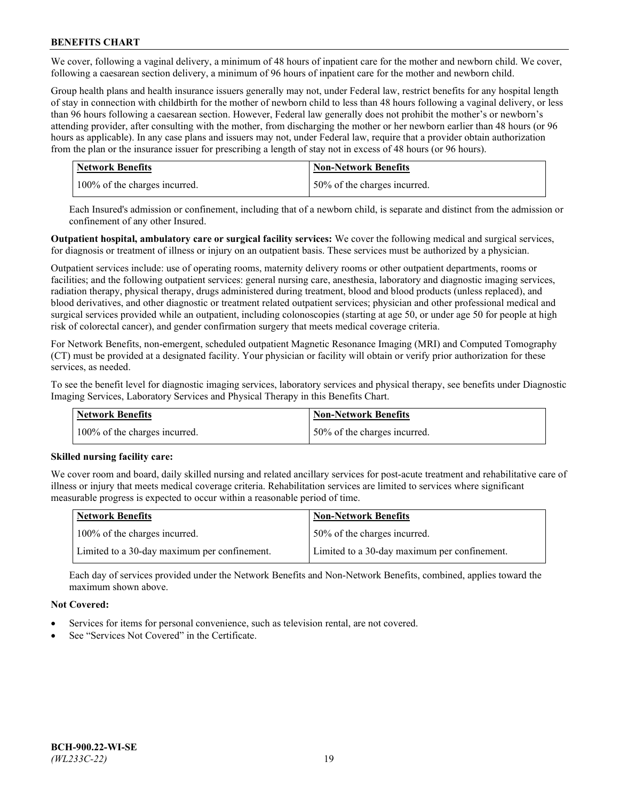We cover, following a vaginal delivery, a minimum of 48 hours of inpatient care for the mother and newborn child. We cover, following a caesarean section delivery, a minimum of 96 hours of inpatient care for the mother and newborn child.

Group health plans and health insurance issuers generally may not, under Federal law, restrict benefits for any hospital length of stay in connection with childbirth for the mother of newborn child to less than 48 hours following a vaginal delivery, or less than 96 hours following a caesarean section. However, Federal law generally does not prohibit the mother's or newborn's attending provider, after consulting with the mother, from discharging the mother or her newborn earlier than 48 hours (or 96 hours as applicable). In any case plans and issuers may not, under Federal law, require that a provider obtain authorization from the plan or the insurance issuer for prescribing a length of stay not in excess of 48 hours (or 96 hours).

| <b>Network Benefits</b>       | <b>Non-Network Benefits</b>  |
|-------------------------------|------------------------------|
| 100% of the charges incurred. | 50% of the charges incurred. |

Each Insured's admission or confinement, including that of a newborn child, is separate and distinct from the admission or confinement of any other Insured.

**Outpatient hospital, ambulatory care or surgical facility services:** We cover the following medical and surgical services, for diagnosis or treatment of illness or injury on an outpatient basis. These services must be authorized by a physician.

Outpatient services include: use of operating rooms, maternity delivery rooms or other outpatient departments, rooms or facilities; and the following outpatient services: general nursing care, anesthesia, laboratory and diagnostic imaging services, radiation therapy, physical therapy, drugs administered during treatment, blood and blood products (unless replaced), and blood derivatives, and other diagnostic or treatment related outpatient services; physician and other professional medical and surgical services provided while an outpatient, including colonoscopies (starting at age 50, or under age 50 for people at high risk of colorectal cancer), and gender confirmation surgery that meets medical coverage criteria.

For Network Benefits, non-emergent, scheduled outpatient Magnetic Resonance Imaging (MRI) and Computed Tomography (CT) must be provided at a designated facility. Your physician or facility will obtain or verify prior authorization for these services, as needed.

To see the benefit level for diagnostic imaging services, laboratory services and physical therapy, see benefits under Diagnostic Imaging Services, Laboratory Services and Physical Therapy in this Benefits Chart.

| <b>Network Benefits</b>       | <b>Non-Network Benefits</b>  |
|-------------------------------|------------------------------|
| 100% of the charges incurred. | 50% of the charges incurred. |

## **Skilled nursing facility care:**

We cover room and board, daily skilled nursing and related ancillary services for post-acute treatment and rehabilitative care of illness or injury that meets medical coverage criteria. Rehabilitation services are limited to services where significant measurable progress is expected to occur within a reasonable period of time.

| Network Benefits                             | <b>Non-Network Benefits</b>                  |
|----------------------------------------------|----------------------------------------------|
| 100% of the charges incurred.                | 50% of the charges incurred.                 |
| Limited to a 30-day maximum per confinement. | Limited to a 30-day maximum per confinement. |

Each day of services provided under the Network Benefits and Non-Network Benefits, combined, applies toward the maximum shown above.

## **Not Covered:**

- Services for items for personal convenience, such as television rental, are not covered.
- See "Services Not Covered" in the Certificate.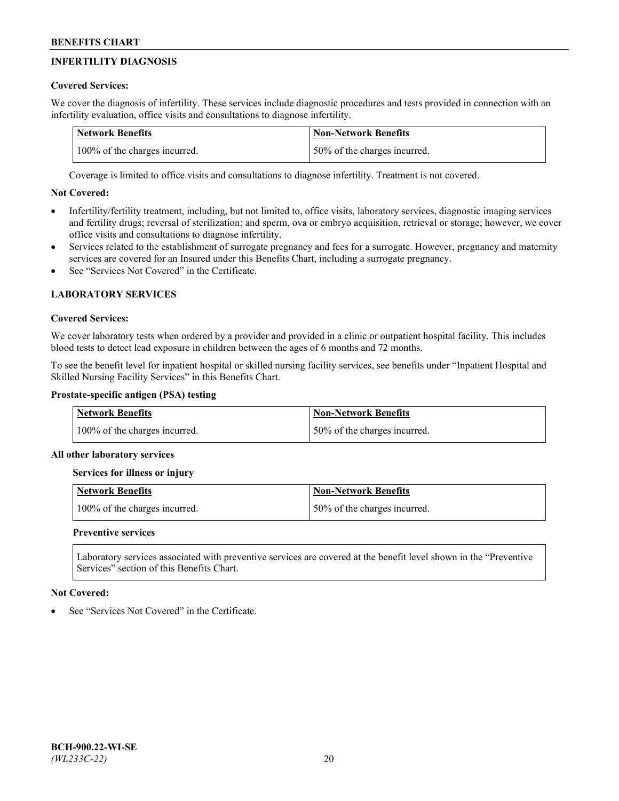# **INFERTILITY DIAGNOSIS**

## **Covered Services:**

We cover the diagnosis of infertility. These services include diagnostic procedures and tests provided in connection with an infertility evaluation, office visits and consultations to diagnose infertility.

| <b>Network Benefits</b>       | <b>Non-Network Benefits</b>  |
|-------------------------------|------------------------------|
| 100% of the charges incurred. | 50% of the charges incurred. |

Coverage is limited to office visits and consultations to diagnose infertility. Treatment is not covered.

## **Not Covered:**

- Infertility/fertility treatment, including, but not limited to, office visits, laboratory services, diagnostic imaging services and fertility drugs; reversal of sterilization; and sperm, ova or embryo acquisition, retrieval or storage; however, we cover office visits and consultations to diagnose infertility.
- Services related to the establishment of surrogate pregnancy and fees for a surrogate. However, pregnancy and maternity services are covered for an Insured under this Benefits Chart, including a surrogate pregnancy.
- See "Services Not Covered" in the Certificate

# **LABORATORY SERVICES**

## **Covered Services:**

We cover laboratory tests when ordered by a provider and provided in a clinic or outpatient hospital facility. This includes blood tests to detect lead exposure in children between the ages of 6 months and 72 months.

To see the benefit level for inpatient hospital or skilled nursing facility services, see benefits under "Inpatient Hospital and Skilled Nursing Facility Services" in this Benefits Chart.

## **Prostate-specific antigen (PSA) testing**

| Network Benefits              | <b>Non-Network Benefits</b>  |
|-------------------------------|------------------------------|
| 100% of the charges incurred. | 50% of the charges incurred. |

## **All other laboratory services**

**Services for illness or injury**

| <b>Network Benefits</b>       | Non-Network Benefits         |
|-------------------------------|------------------------------|
| 100% of the charges incurred. | 50% of the charges incurred. |

## **Preventive services**

Laboratory services associated with preventive services are covered at the benefit level shown in the "Preventive Services" section of this Benefits Chart.

## **Not Covered:**

See "Services Not Covered" in the Certificate.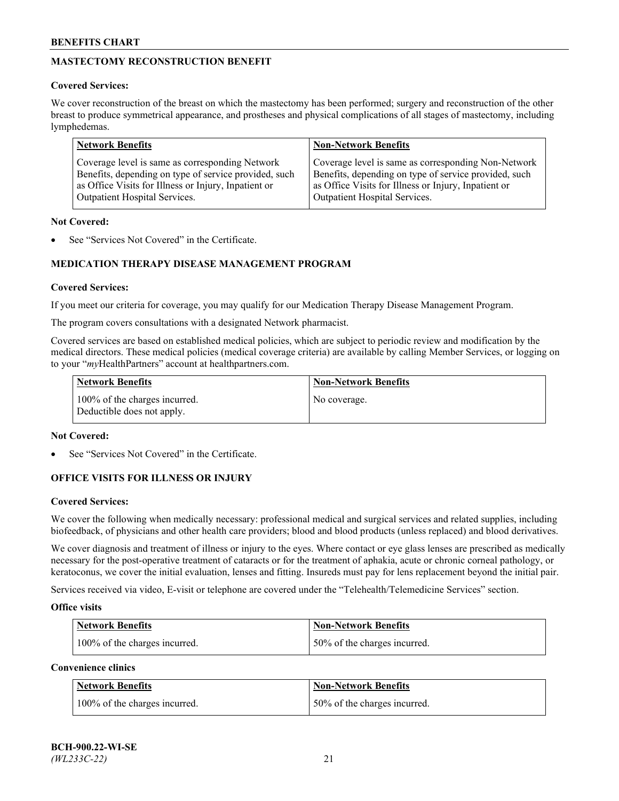# **MASTECTOMY RECONSTRUCTION BENEFIT**

## **Covered Services:**

We cover reconstruction of the breast on which the mastectomy has been performed; surgery and reconstruction of the other breast to produce symmetrical appearance, and prostheses and physical complications of all stages of mastectomy, including lymphedemas.

| <b>Network Benefits</b>                               | <b>Non-Network Benefits</b>                           |
|-------------------------------------------------------|-------------------------------------------------------|
| Coverage level is same as corresponding Network       | Coverage level is same as corresponding Non-Network   |
| Benefits, depending on type of service provided, such | Benefits, depending on type of service provided, such |
| as Office Visits for Illness or Injury, Inpatient or  | as Office Visits for Illness or Injury, Inpatient or  |
| Outpatient Hospital Services.                         | Outpatient Hospital Services.                         |

### **Not Covered:**

See "Services Not Covered" in the Certificate.

## **MEDICATION THERAPY DISEASE MANAGEMENT PROGRAM**

## **Covered Services:**

If you meet our criteria for coverage, you may qualify for our Medication Therapy Disease Management Program.

The program covers consultations with a designated Network pharmacist.

Covered services are based on established medical policies, which are subject to periodic review and modification by the medical directors. These medical policies (medical coverage criteria) are available by calling Member Services, or logging on to your "*my*HealthPartners" account at [healthpartners.com.](http://www.healthpartners.com/)

| Network Benefits                                            | <b>Non-Network Benefits</b> |
|-------------------------------------------------------------|-----------------------------|
| 100% of the charges incurred.<br>Deductible does not apply. | No coverage.                |

### **Not Covered:**

See "Services Not Covered" in the Certificate.

## **OFFICE VISITS FOR ILLNESS OR INJURY**

#### **Covered Services:**

We cover the following when medically necessary: professional medical and surgical services and related supplies, including biofeedback, of physicians and other health care providers; blood and blood products (unless replaced) and blood derivatives.

We cover diagnosis and treatment of illness or injury to the eyes. Where contact or eye glass lenses are prescribed as medically necessary for the post-operative treatment of cataracts or for the treatment of aphakia, acute or chronic corneal pathology, or keratoconus, we cover the initial evaluation, lenses and fitting. Insureds must pay for lens replacement beyond the initial pair.

Services received via video, E-visit or telephone are covered under the "Telehealth/Telemedicine Services" section.

#### **Office visits**

| <b>Network Benefits</b>       | <b>Non-Network Benefits</b>  |
|-------------------------------|------------------------------|
| 100% of the charges incurred. | 50% of the charges incurred. |

**Convenience clinics**

| <b>Network Benefits</b>       | <b>Non-Network Benefits</b>   |
|-------------------------------|-------------------------------|
| 100% of the charges incurred. | 150% of the charges incurred. |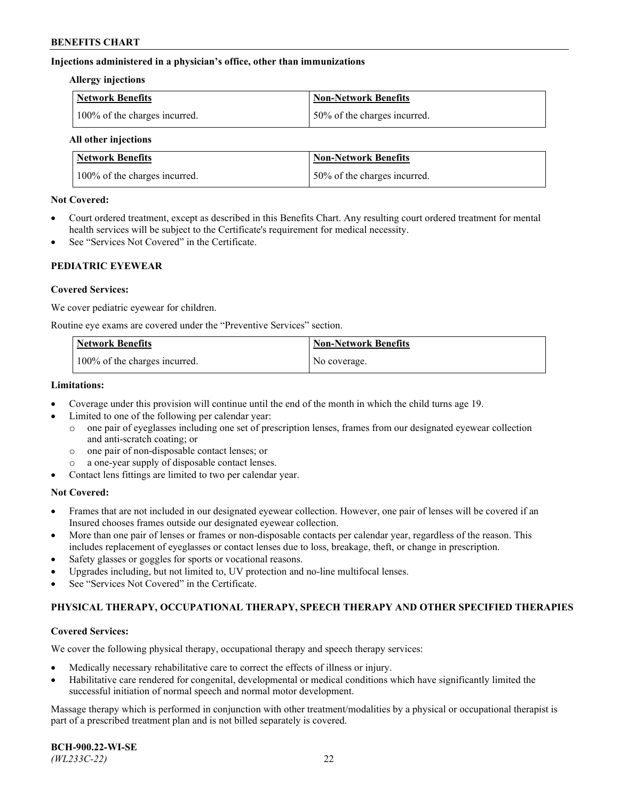### **Injections administered in a physician's office, other than immunizations**

#### **Allergy injections**

| Network Benefits              | Non-Network Benefits          |
|-------------------------------|-------------------------------|
| 100% of the charges incurred. | 150% of the charges incurred. |

#### **All other injections**

| <b>Network Benefits</b>       | <b>Non-Network Benefits</b>  |
|-------------------------------|------------------------------|
| 100% of the charges incurred. | 50% of the charges incurred. |

### **Not Covered:**

- Court ordered treatment, except as described in this Benefits Chart. Any resulting court ordered treatment for mental health services will be subject to the Certificate's requirement for medical necessity.
- See "Services Not Covered" in the Certificate.

## **PEDIATRIC EYEWEAR**

### **Covered Services:**

We cover pediatric eyewear for children.

Routine eye exams are covered under the "Preventive Services" section.

| Network Benefits              | <b>Non-Network Benefits</b> |
|-------------------------------|-----------------------------|
| 100% of the charges incurred. | No coverage.                |

### **Limitations:**

- Coverage under this provision will continue until the end of the month in which the child turns age 19.
- Limited to one of the following per calendar year:
	- o one pair of eyeglasses including one set of prescription lenses, frames from our designated eyewear collection and anti-scratch coating; or
	- o one pair of non-disposable contact lenses; or
	- o a one-year supply of disposable contact lenses.
- Contact lens fittings are limited to two per calendar year.

## **Not Covered:**

- Frames that are not included in our designated eyewear collection. However, one pair of lenses will be covered if an Insured chooses frames outside our designated eyewear collection.
- More than one pair of lenses or frames or non-disposable contacts per calendar year, regardless of the reason. This includes replacement of eyeglasses or contact lenses due to loss, breakage, theft, or change in prescription.
- Safety glasses or goggles for sports or vocational reasons.
- Upgrades including, but not limited to, UV protection and no-line multifocal lenses.
- See "Services Not Covered" in the Certificate.

## **PHYSICAL THERAPY, OCCUPATIONAL THERAPY, SPEECH THERAPY AND OTHER SPECIFIED THERAPIES**

#### **Covered Services:**

We cover the following physical therapy, occupational therapy and speech therapy services:

- Medically necessary rehabilitative care to correct the effects of illness or injury.
- Habilitative care rendered for congenital, developmental or medical conditions which have significantly limited the successful initiation of normal speech and normal motor development.

Massage therapy which is performed in conjunction with other treatment/modalities by a physical or occupational therapist is part of a prescribed treatment plan and is not billed separately is covered.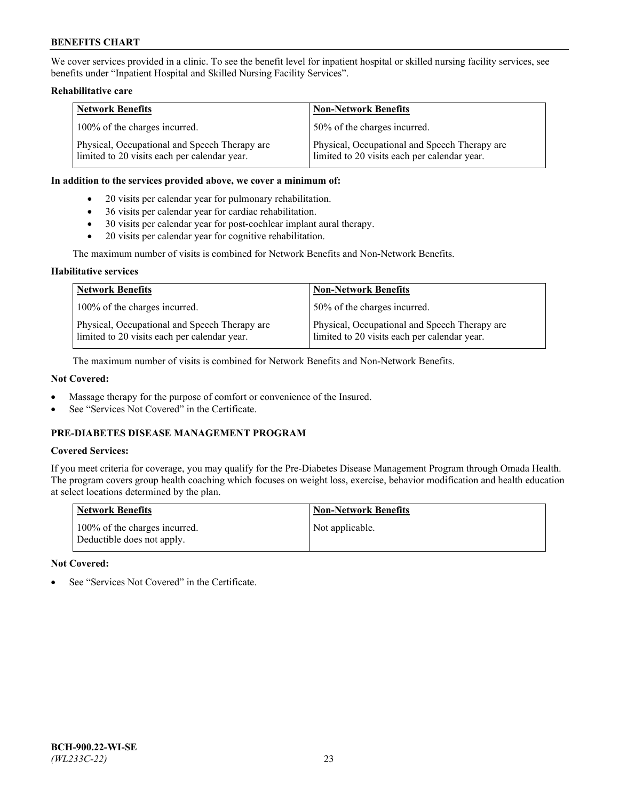We cover services provided in a clinic. To see the benefit level for inpatient hospital or skilled nursing facility services, see benefits under "Inpatient Hospital and Skilled Nursing Facility Services".

### **Rehabilitative care**

| <b>Network Benefits</b>                                                                       | <b>Non-Network Benefits</b>                                                                   |
|-----------------------------------------------------------------------------------------------|-----------------------------------------------------------------------------------------------|
| 100% of the charges incurred.                                                                 | 50% of the charges incurred.                                                                  |
| Physical, Occupational and Speech Therapy are<br>limited to 20 visits each per calendar year. | Physical, Occupational and Speech Therapy are<br>limited to 20 visits each per calendar year. |

#### **In addition to the services provided above, we cover a minimum of:**

- 20 visits per calendar year for pulmonary rehabilitation.
- 36 visits per calendar year for cardiac rehabilitation.
- 30 visits per calendar year for post-cochlear implant aural therapy.
- 20 visits per calendar year for cognitive rehabilitation.

The maximum number of visits is combined for Network Benefits and Non-Network Benefits.

### **Habilitative services**

| <b>Network Benefits</b>                                                                       | <b>Non-Network Benefits</b>                                                                   |
|-----------------------------------------------------------------------------------------------|-----------------------------------------------------------------------------------------------|
| 100% of the charges incurred.                                                                 | 50% of the charges incurred.                                                                  |
| Physical, Occupational and Speech Therapy are<br>limited to 20 visits each per calendar year. | Physical, Occupational and Speech Therapy are<br>limited to 20 visits each per calendar year. |

The maximum number of visits is combined for Network Benefits and Non-Network Benefits.

## **Not Covered:**

- Massage therapy for the purpose of comfort or convenience of the Insured.
- See "Services Not Covered" in the Certificate.

## **PRE-DIABETES DISEASE MANAGEMENT PROGRAM**

## **Covered Services:**

If you meet criteria for coverage, you may qualify for the Pre-Diabetes Disease Management Program through Omada Health. The program covers group health coaching which focuses on weight loss, exercise, behavior modification and health education at select locations determined by the plan.

| <b>Network Benefits</b>                                     | <b>Non-Network Benefits</b> |
|-------------------------------------------------------------|-----------------------------|
| 100% of the charges incurred.<br>Deductible does not apply. | Not applicable.             |

## **Not Covered:**

See "Services Not Covered" in the Certificate.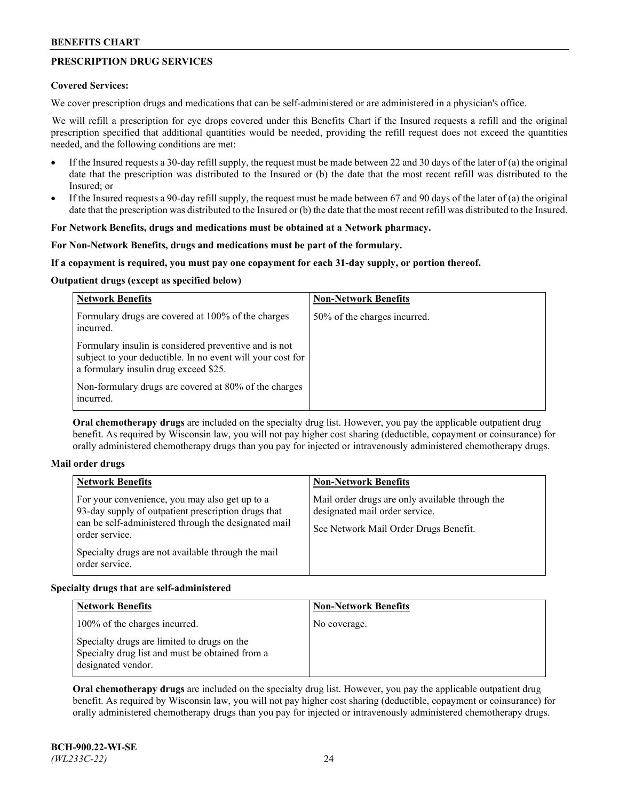## **PRESCRIPTION DRUG SERVICES**

### **Covered Services:**

We cover prescription drugs and medications that can be self-administered or are administered in a physician's office.

We will refill a prescription for eye drops covered under this Benefits Chart if the Insured requests a refill and the original prescription specified that additional quantities would be needed, providing the refill request does not exceed the quantities needed, and the following conditions are met:

- If the Insured requests a 30-day refill supply, the request must be made between 22 and 30 days of the later of (a) the original date that the prescription was distributed to the Insured or (b) the date that the most recent refill was distributed to the Insured; or
- If the Insured requests a 90-day refill supply, the request must be made between 67 and 90 days of the later of (a) the original date that the prescription was distributed to the Insured or (b) the date that the most recent refill was distributed to the Insured.

## **For Network Benefits, drugs and medications must be obtained at a Network pharmacy.**

### **For Non-Network Benefits, drugs and medications must be part of the formulary.**

### **If a copayment is required, you must pay one copayment for each 31-day supply, or portion thereof.**

### **Outpatient drugs (except as specified below)**

| <b>Network Benefits</b>                                                                                                                                      | <b>Non-Network Benefits</b>  |
|--------------------------------------------------------------------------------------------------------------------------------------------------------------|------------------------------|
| Formulary drugs are covered at 100% of the charges<br>incurred.                                                                                              | 50% of the charges incurred. |
| Formulary insulin is considered preventive and is not<br>subject to your deductible. In no event will your cost for<br>a formulary insulin drug exceed \$25. |                              |
| Non-formulary drugs are covered at 80% of the charges<br>incurred.                                                                                           |                              |

**Oral chemotherapy drugs** are included on the specialty drug list. However, you pay the applicable outpatient drug benefit. As required by Wisconsin law, you will not pay higher cost sharing (deductible, copayment or coinsurance) for orally administered chemotherapy drugs than you pay for injected or intravenously administered chemotherapy drugs.

#### **Mail order drugs**

| For your convenience, you may also get up to a                                                                                                                                                        |                                                                                                                            |
|-------------------------------------------------------------------------------------------------------------------------------------------------------------------------------------------------------|----------------------------------------------------------------------------------------------------------------------------|
| 93-day supply of outpatient prescription drugs that<br>can be self-administered through the designated mail<br>order service.<br>Specialty drugs are not available through the mail<br>order service. | Mail order drugs are only available through the<br>designated mail order service.<br>See Network Mail Order Drugs Benefit. |

## **Specialty drugs that are self-administered**

| <b>Network Benefits</b>                                                                                              | <b>Non-Network Benefits</b> |
|----------------------------------------------------------------------------------------------------------------------|-----------------------------|
| 100% of the charges incurred.                                                                                        | No coverage.                |
| Specialty drugs are limited to drugs on the<br>Specialty drug list and must be obtained from a<br>designated vendor. |                             |

**Oral chemotherapy drugs** are included on the specialty drug list. However, you pay the applicable outpatient drug benefit. As required by Wisconsin law, you will not pay higher cost sharing (deductible, copayment or coinsurance) for orally administered chemotherapy drugs than you pay for injected or intravenously administered chemotherapy drugs.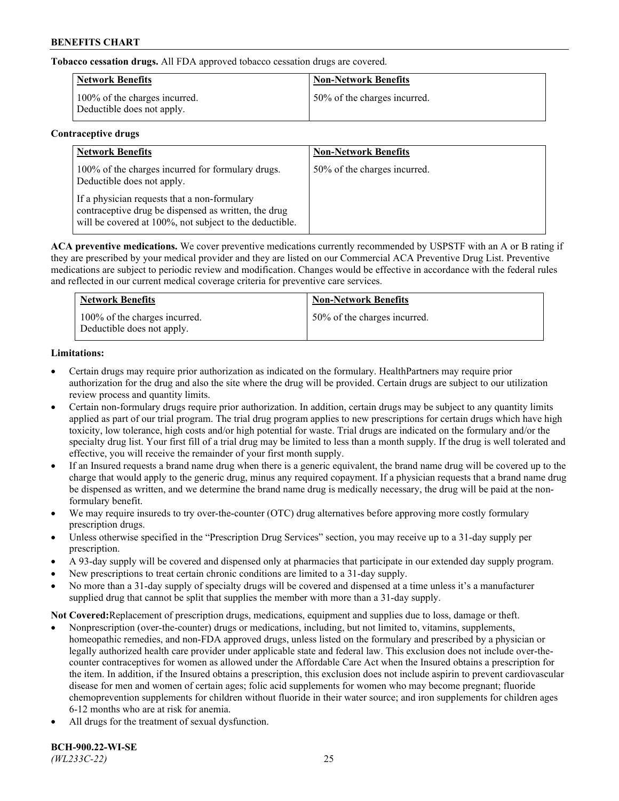**Tobacco cessation drugs.** All FDA approved tobacco cessation drugs are covered.

| <b>Network Benefits</b>                                     | <b>Non-Network Benefits</b>  |
|-------------------------------------------------------------|------------------------------|
| 100% of the charges incurred.<br>Deductible does not apply. | 50% of the charges incurred. |

## **Contraceptive drugs**

| <b>Network Benefits</b>                                                                                                                                         | <b>Non-Network Benefits</b>  |
|-----------------------------------------------------------------------------------------------------------------------------------------------------------------|------------------------------|
| 100% of the charges incurred for formulary drugs.<br>Deductible does not apply.                                                                                 | 50% of the charges incurred. |
| If a physician requests that a non-formulary<br>contraceptive drug be dispensed as written, the drug<br>will be covered at 100%, not subject to the deductible. |                              |

**ACA preventive medications.** We cover preventive medications currently recommended by USPSTF with an A or B rating if they are prescribed by your medical provider and they are listed on our Commercial ACA Preventive Drug List. Preventive medications are subject to periodic review and modification. Changes would be effective in accordance with the federal rules and reflected in our current medical coverage criteria for preventive care services.

| <b>Network Benefits</b>                                     | <b>Non-Network Benefits</b>  |
|-------------------------------------------------------------|------------------------------|
| 100% of the charges incurred.<br>Deductible does not apply. | 50% of the charges incurred. |

## **Limitations:**

- Certain drugs may require prior authorization as indicated on the formulary. HealthPartners may require prior authorization for the drug and also the site where the drug will be provided. Certain drugs are subject to our utilization review process and quantity limits.
- Certain non-formulary drugs require prior authorization. In addition, certain drugs may be subject to any quantity limits applied as part of our trial program. The trial drug program applies to new prescriptions for certain drugs which have high toxicity, low tolerance, high costs and/or high potential for waste. Trial drugs are indicated on the formulary and/or the specialty drug list. Your first fill of a trial drug may be limited to less than a month supply. If the drug is well tolerated and effective, you will receive the remainder of your first month supply.
- If an Insured requests a brand name drug when there is a generic equivalent, the brand name drug will be covered up to the charge that would apply to the generic drug, minus any required copayment. If a physician requests that a brand name drug be dispensed as written, and we determine the brand name drug is medically necessary, the drug will be paid at the nonformulary benefit.
- We may require insureds to try over-the-counter (OTC) drug alternatives before approving more costly formulary prescription drugs.
- Unless otherwise specified in the "Prescription Drug Services" section, you may receive up to a 31-day supply per prescription.
- A 93-day supply will be covered and dispensed only at pharmacies that participate in our extended day supply program.
- New prescriptions to treat certain chronic conditions are limited to a 31-day supply.
- No more than a 31-day supply of specialty drugs will be covered and dispensed at a time unless it's a manufacturer supplied drug that cannot be split that supplies the member with more than a 31-day supply.

**Not Covered:**Replacement of prescription drugs, medications, equipment and supplies due to loss, damage or theft.

- Nonprescription (over-the-counter) drugs or medications, including, but not limited to, vitamins, supplements, homeopathic remedies, and non-FDA approved drugs, unless listed on the formulary and prescribed by a physician or legally authorized health care provider under applicable state and federal law. This exclusion does not include over-thecounter contraceptives for women as allowed under the Affordable Care Act when the Insured obtains a prescription for the item. In addition, if the Insured obtains a prescription, this exclusion does not include aspirin to prevent cardiovascular disease for men and women of certain ages; folic acid supplements for women who may become pregnant; fluoride chemoprevention supplements for children without fluoride in their water source; and iron supplements for children ages 6-12 months who are at risk for anemia.
- All drugs for the treatment of sexual dysfunction.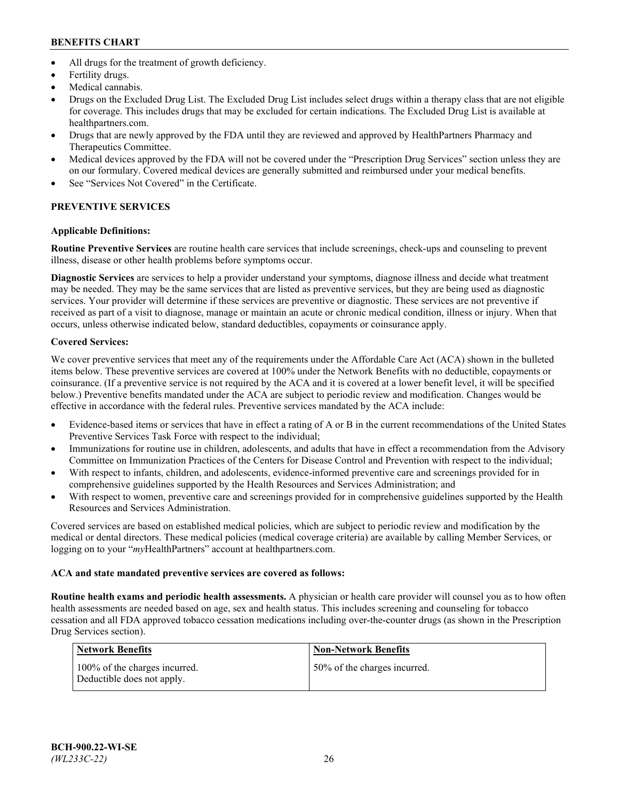- All drugs for the treatment of growth deficiency.
- Fertility drugs.
- Medical cannabis.
- Drugs on the Excluded Drug List. The Excluded Drug List includes select drugs within a therapy class that are not eligible for coverage. This includes drugs that may be excluded for certain indications. The Excluded Drug List is available at [healthpartners.com.](http://www.healthpartners.com/)
- Drugs that are newly approved by the FDA until they are reviewed and approved by HealthPartners Pharmacy and Therapeutics Committee.
- Medical devices approved by the FDA will not be covered under the "Prescription Drug Services" section unless they are on our formulary. Covered medical devices are generally submitted and reimbursed under your medical benefits.
- See "Services Not Covered" in the Certificate.

# **PREVENTIVE SERVICES**

## **Applicable Definitions:**

**Routine Preventive Services** are routine health care services that include screenings, check-ups and counseling to prevent illness, disease or other health problems before symptoms occur.

**Diagnostic Services** are services to help a provider understand your symptoms, diagnose illness and decide what treatment may be needed. They may be the same services that are listed as preventive services, but they are being used as diagnostic services. Your provider will determine if these services are preventive or diagnostic. These services are not preventive if received as part of a visit to diagnose, manage or maintain an acute or chronic medical condition, illness or injury. When that occurs, unless otherwise indicated below, standard deductibles, copayments or coinsurance apply.

## **Covered Services:**

We cover preventive services that meet any of the requirements under the Affordable Care Act (ACA) shown in the bulleted items below. These preventive services are covered at 100% under the Network Benefits with no deductible, copayments or coinsurance. (If a preventive service is not required by the ACA and it is covered at a lower benefit level, it will be specified below.) Preventive benefits mandated under the ACA are subject to periodic review and modification. Changes would be effective in accordance with the federal rules. Preventive services mandated by the ACA include:

- Evidence-based items or services that have in effect a rating of A or B in the current recommendations of the United States Preventive Services Task Force with respect to the individual;
- Immunizations for routine use in children, adolescents, and adults that have in effect a recommendation from the Advisory Committee on Immunization Practices of the Centers for Disease Control and Prevention with respect to the individual;
- With respect to infants, children, and adolescents, evidence-informed preventive care and screenings provided for in comprehensive guidelines supported by the Health Resources and Services Administration; and
- With respect to women, preventive care and screenings provided for in comprehensive guidelines supported by the Health Resources and Services Administration.

Covered services are based on established medical policies, which are subject to periodic review and modification by the medical or dental directors. These medical policies (medical coverage criteria) are available by calling Member Services, or logging on to your "*my*HealthPartners" account at [healthpartners.com.](https://www.healthpartners.com/hp/index.html)

## **ACA and state mandated preventive services are covered as follows:**

**Routine health exams and periodic health assessments.** A physician or health care provider will counsel you as to how often health assessments are needed based on age, sex and health status. This includes screening and counseling for tobacco cessation and all FDA approved tobacco cessation medications including over-the-counter drugs (as shown in the Prescription Drug Services section).

| Network Benefits                                            | <b>Non-Network Benefits</b>  |
|-------------------------------------------------------------|------------------------------|
| 100% of the charges incurred.<br>Deductible does not apply. | 50% of the charges incurred. |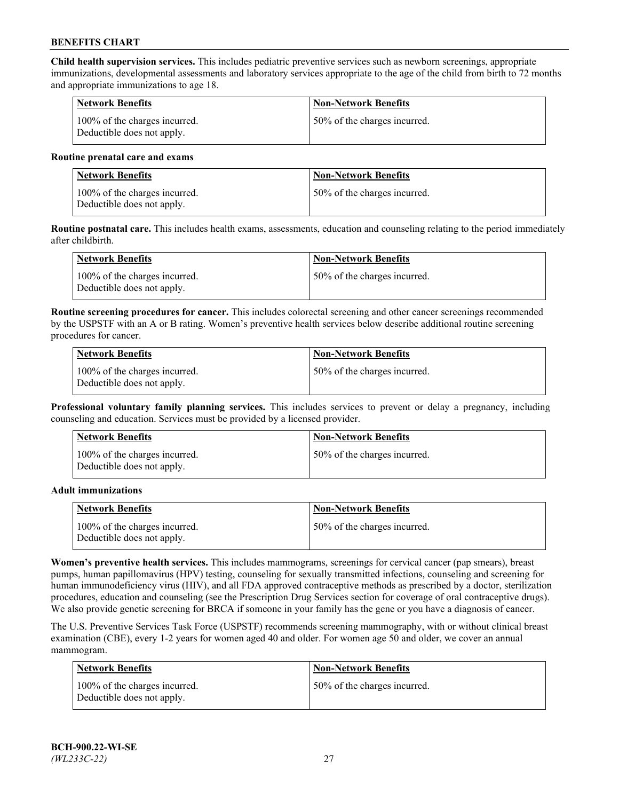**Child health supervision services.** This includes pediatric preventive services such as newborn screenings, appropriate immunizations, developmental assessments and laboratory services appropriate to the age of the child from birth to 72 months and appropriate immunizations to age 18.

| <b>Network Benefits</b>                                     | <b>Non-Network Benefits</b>  |
|-------------------------------------------------------------|------------------------------|
| 100% of the charges incurred.<br>Deductible does not apply. | 50% of the charges incurred. |

#### **Routine prenatal care and exams**

| Network Benefits                                            | <b>Non-Network Benefits</b>  |
|-------------------------------------------------------------|------------------------------|
| 100% of the charges incurred.<br>Deductible does not apply. | 50% of the charges incurred. |

**Routine postnatal care.** This includes health exams, assessments, education and counseling relating to the period immediately after childbirth.

| Network Benefits                                            | <b>Non-Network Benefits</b>  |
|-------------------------------------------------------------|------------------------------|
| 100% of the charges incurred.<br>Deductible does not apply. | 50% of the charges incurred. |

**Routine screening procedures for cancer.** This includes colorectal screening and other cancer screenings recommended by the USPSTF with an A or B rating. Women's preventive health services below describe additional routine screening procedures for cancer.

| <b>Network Benefits</b>                                     | <b>Non-Network Benefits</b>  |
|-------------------------------------------------------------|------------------------------|
| 100% of the charges incurred.<br>Deductible does not apply. | 50% of the charges incurred. |

**Professional voluntary family planning services.** This includes services to prevent or delay a pregnancy, including counseling and education. Services must be provided by a licensed provider.

| <b>Network Benefits</b>                                     | <b>Non-Network Benefits</b>  |
|-------------------------------------------------------------|------------------------------|
| 100% of the charges incurred.<br>Deductible does not apply. | 50% of the charges incurred. |

#### **Adult immunizations**

| <b>Network Benefits</b>                                     | <b>Non-Network Benefits</b>  |
|-------------------------------------------------------------|------------------------------|
| 100% of the charges incurred.<br>Deductible does not apply. | 50% of the charges incurred. |

**Women's preventive health services.** This includes mammograms, screenings for cervical cancer (pap smears), breast pumps, human papillomavirus (HPV) testing, counseling for sexually transmitted infections, counseling and screening for human immunodeficiency virus (HIV), and all FDA approved contraceptive methods as prescribed by a doctor, sterilization procedures, education and counseling (see the Prescription Drug Services section for coverage of oral contraceptive drugs). We also provide genetic screening for BRCA if someone in your family has the gene or you have a diagnosis of cancer.

The U.S. Preventive Services Task Force (USPSTF) recommends screening mammography, with or without clinical breast examination (CBE), every 1-2 years for women aged 40 and older. For women age 50 and older, we cover an annual mammogram.

| <b>Network Benefits</b>                                     | <b>Non-Network Benefits</b>  |
|-------------------------------------------------------------|------------------------------|
| 100% of the charges incurred.<br>Deductible does not apply. | 50% of the charges incurred. |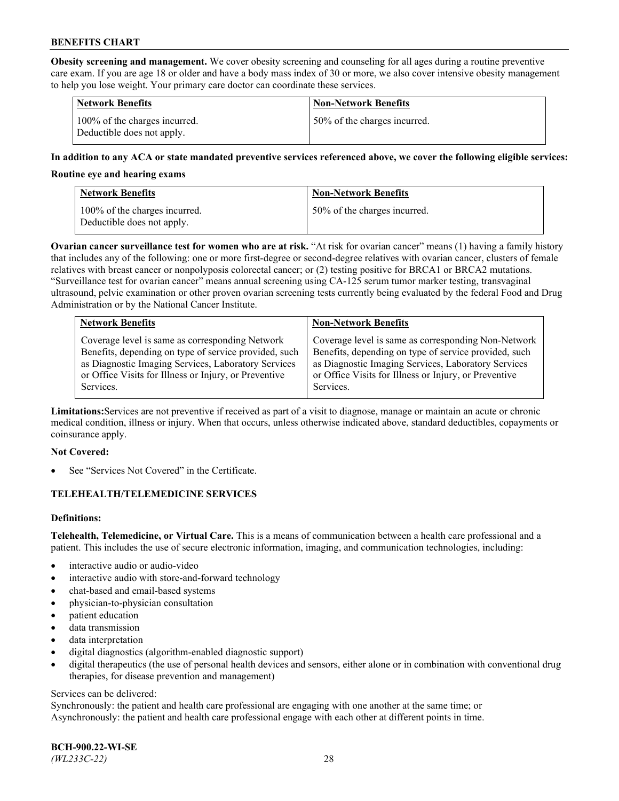**Obesity screening and management.** We cover obesity screening and counseling for all ages during a routine preventive care exam. If you are age 18 or older and have a body mass index of 30 or more, we also cover intensive obesity management to help you lose weight. Your primary care doctor can coordinate these services.

| <b>Network Benefits</b>                                     | <b>Non-Network Benefits</b>  |
|-------------------------------------------------------------|------------------------------|
| 100% of the charges incurred.<br>Deductible does not apply. | 50% of the charges incurred. |

### **In addition to any ACA or state mandated preventive services referenced above, we cover the following eligible services:**

#### **Routine eye and hearing exams**

| <b>Network Benefits</b>                                     | <b>Non-Network Benefits</b>  |
|-------------------------------------------------------------|------------------------------|
| 100% of the charges incurred.<br>Deductible does not apply. | 50% of the charges incurred. |

**Ovarian cancer surveillance test for women who are at risk.** "At risk for ovarian cancer" means (1) having a family history that includes any of the following: one or more first-degree or second-degree relatives with ovarian cancer, clusters of female relatives with breast cancer or nonpolyposis colorectal cancer; or (2) testing positive for BRCA1 or BRCA2 mutations. "Surveillance test for ovarian cancer" means annual screening using CA-125 serum tumor marker testing, transvaginal ultrasound, pelvic examination or other proven ovarian screening tests currently being evaluated by the federal Food and Drug Administration or by the National Cancer Institute.

| <b>Network Benefits</b>                               | <b>Non-Network Benefits</b>                           |
|-------------------------------------------------------|-------------------------------------------------------|
| Coverage level is same as corresponding Network       | Coverage level is same as corresponding Non-Network   |
| Benefits, depending on type of service provided, such | Benefits, depending on type of service provided, such |
| as Diagnostic Imaging Services, Laboratory Services   | as Diagnostic Imaging Services, Laboratory Services   |
| or Office Visits for Illness or Injury, or Preventive | or Office Visits for Illness or Injury, or Preventive |
| Services.                                             | Services.                                             |

**Limitations:**Services are not preventive if received as part of a visit to diagnose, manage or maintain an acute or chronic medical condition, illness or injury. When that occurs, unless otherwise indicated above, standard deductibles, copayments or coinsurance apply.

#### **Not Covered:**

See "Services Not Covered" in the Certificate.

## **TELEHEALTH/TELEMEDICINE SERVICES**

## **Definitions:**

**Telehealth, Telemedicine, or Virtual Care.** This is a means of communication between a health care professional and a patient. This includes the use of secure electronic information, imaging, and communication technologies, including:

- interactive audio or audio-video
- interactive audio with store-and-forward technology
- chat-based and email-based systems
- physician-to-physician consultation
- patient education
- data transmission
- data interpretation
- digital diagnostics (algorithm-enabled diagnostic support)
- digital therapeutics (the use of personal health devices and sensors, either alone or in combination with conventional drug therapies, for disease prevention and management)

#### Services can be delivered:

Synchronously: the patient and health care professional are engaging with one another at the same time; or Asynchronously: the patient and health care professional engage with each other at different points in time.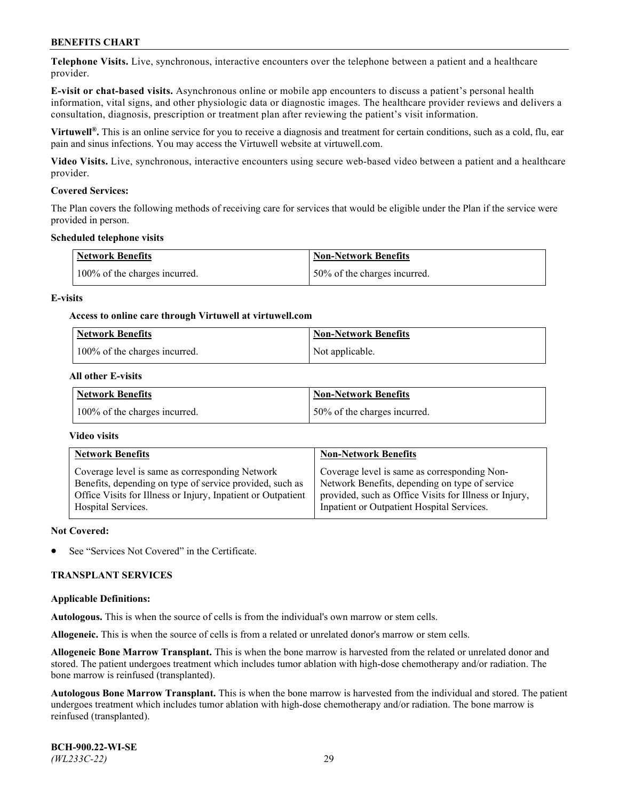**Telephone Visits.** Live, synchronous, interactive encounters over the telephone between a patient and a healthcare provider.

**E-visit or chat-based visits.** Asynchronous online or mobile app encounters to discuss a patient's personal health information, vital signs, and other physiologic data or diagnostic images. The healthcare provider reviews and delivers a consultation, diagnosis, prescription or treatment plan after reviewing the patient's visit information.

**Virtuwell®.** This is an online service for you to receive a diagnosis and treatment for certain conditions, such as a cold, flu, ear pain and sinus infections. You may access the Virtuwell website at [virtuwell.com.](https://www.virtuwell.com/)

**Video Visits.** Live, synchronous, interactive encounters using secure web-based video between a patient and a healthcare provider.

### **Covered Services:**

The Plan covers the following methods of receiving care for services that would be eligible under the Plan if the service were provided in person.

#### **Scheduled telephone visits**

| <b>Network Benefits</b>       | <b>Non-Network Benefits</b>  |
|-------------------------------|------------------------------|
| 100% of the charges incurred. | 50% of the charges incurred. |

### **E-visits**

### **Access to online care through Virtuwell at [virtuwell.com](https://www.virtuwell.com/)**

| Network Benefits              | <b>Non-Network Benefits</b> |
|-------------------------------|-----------------------------|
| 100% of the charges incurred. | Not applicable.             |

### **All other E-visits**

| <b>Network Benefits</b>       | <b>Non-Network Benefits</b>  |
|-------------------------------|------------------------------|
| 100% of the charges incurred. | 50% of the charges incurred. |

#### **Video visits**

| <b>Network Benefits</b>                                      | <b>Non-Network Benefits</b>                            |
|--------------------------------------------------------------|--------------------------------------------------------|
| Coverage level is same as corresponding Network              | Coverage level is same as corresponding Non-           |
| Benefits, depending on type of service provided, such as     | Network Benefits, depending on type of service         |
| Office Visits for Illness or Injury, Inpatient or Outpatient | provided, such as Office Visits for Illness or Injury, |
| Hospital Services.                                           | Inpatient or Outpatient Hospital Services.             |

#### **Not Covered:**

See "Services Not Covered" in the Certificate.

#### **TRANSPLANT SERVICES**

#### **Applicable Definitions:**

**Autologous.** This is when the source of cells is from the individual's own marrow or stem cells.

**Allogeneic.** This is when the source of cells is from a related or unrelated donor's marrow or stem cells.

**Allogeneic Bone Marrow Transplant.** This is when the bone marrow is harvested from the related or unrelated donor and stored. The patient undergoes treatment which includes tumor ablation with high-dose chemotherapy and/or radiation. The bone marrow is reinfused (transplanted).

**Autologous Bone Marrow Transplant.** This is when the bone marrow is harvested from the individual and stored. The patient undergoes treatment which includes tumor ablation with high-dose chemotherapy and/or radiation. The bone marrow is reinfused (transplanted).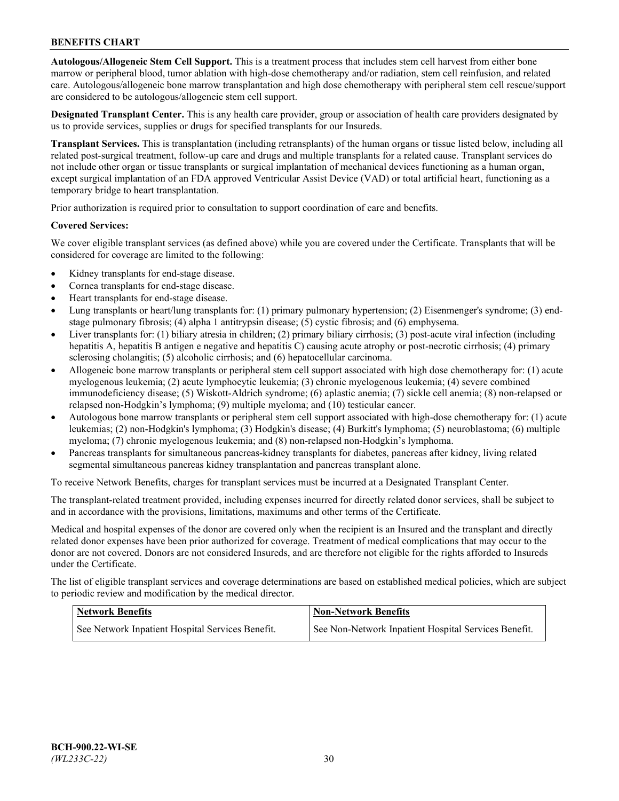**Autologous/Allogeneic Stem Cell Support.** This is a treatment process that includes stem cell harvest from either bone marrow or peripheral blood, tumor ablation with high-dose chemotherapy and/or radiation, stem cell reinfusion, and related care. Autologous/allogeneic bone marrow transplantation and high dose chemotherapy with peripheral stem cell rescue/support are considered to be autologous/allogeneic stem cell support.

**Designated Transplant Center.** This is any health care provider, group or association of health care providers designated by us to provide services, supplies or drugs for specified transplants for our Insureds.

**Transplant Services.** This is transplantation (including retransplants) of the human organs or tissue listed below, including all related post-surgical treatment, follow-up care and drugs and multiple transplants for a related cause. Transplant services do not include other organ or tissue transplants or surgical implantation of mechanical devices functioning as a human organ, except surgical implantation of an FDA approved Ventricular Assist Device (VAD) or total artificial heart, functioning as a temporary bridge to heart transplantation.

Prior authorization is required prior to consultation to support coordination of care and benefits.

### **Covered Services:**

We cover eligible transplant services (as defined above) while you are covered under the Certificate. Transplants that will be considered for coverage are limited to the following:

- Kidney transplants for end-stage disease.
- Cornea transplants for end-stage disease.
- Heart transplants for end-stage disease.
- Lung transplants or heart/lung transplants for: (1) primary pulmonary hypertension; (2) Eisenmenger's syndrome; (3) endstage pulmonary fibrosis; (4) alpha 1 antitrypsin disease; (5) cystic fibrosis; and (6) emphysema.
- Liver transplants for: (1) biliary atresia in children; (2) primary biliary cirrhosis; (3) post-acute viral infection (including hepatitis A, hepatitis B antigen e negative and hepatitis C) causing acute atrophy or post-necrotic cirrhosis; (4) primary sclerosing cholangitis; (5) alcoholic cirrhosis; and (6) hepatocellular carcinoma.
- Allogeneic bone marrow transplants or peripheral stem cell support associated with high dose chemotherapy for: (1) acute myelogenous leukemia; (2) acute lymphocytic leukemia; (3) chronic myelogenous leukemia; (4) severe combined immunodeficiency disease; (5) Wiskott-Aldrich syndrome; (6) aplastic anemia; (7) sickle cell anemia; (8) non-relapsed or relapsed non-Hodgkin's lymphoma; (9) multiple myeloma; and (10) testicular cancer.
- Autologous bone marrow transplants or peripheral stem cell support associated with high-dose chemotherapy for: (1) acute leukemias; (2) non-Hodgkin's lymphoma; (3) Hodgkin's disease; (4) Burkitt's lymphoma; (5) neuroblastoma; (6) multiple myeloma; (7) chronic myelogenous leukemia; and (8) non-relapsed non-Hodgkin's lymphoma.
- Pancreas transplants for simultaneous pancreas-kidney transplants for diabetes, pancreas after kidney, living related segmental simultaneous pancreas kidney transplantation and pancreas transplant alone.

To receive Network Benefits, charges for transplant services must be incurred at a Designated Transplant Center.

The transplant-related treatment provided, including expenses incurred for directly related donor services, shall be subject to and in accordance with the provisions, limitations, maximums and other terms of the Certificate.

Medical and hospital expenses of the donor are covered only when the recipient is an Insured and the transplant and directly related donor expenses have been prior authorized for coverage. Treatment of medical complications that may occur to the donor are not covered. Donors are not considered Insureds, and are therefore not eligible for the rights afforded to Insureds under the Certificate.

The list of eligible transplant services and coverage determinations are based on established medical policies, which are subject to periodic review and modification by the medical director.

| <b>Network Benefits</b>                          | <b>Non-Network Benefits</b>                          |
|--------------------------------------------------|------------------------------------------------------|
| See Network Inpatient Hospital Services Benefit. | See Non-Network Inpatient Hospital Services Benefit. |